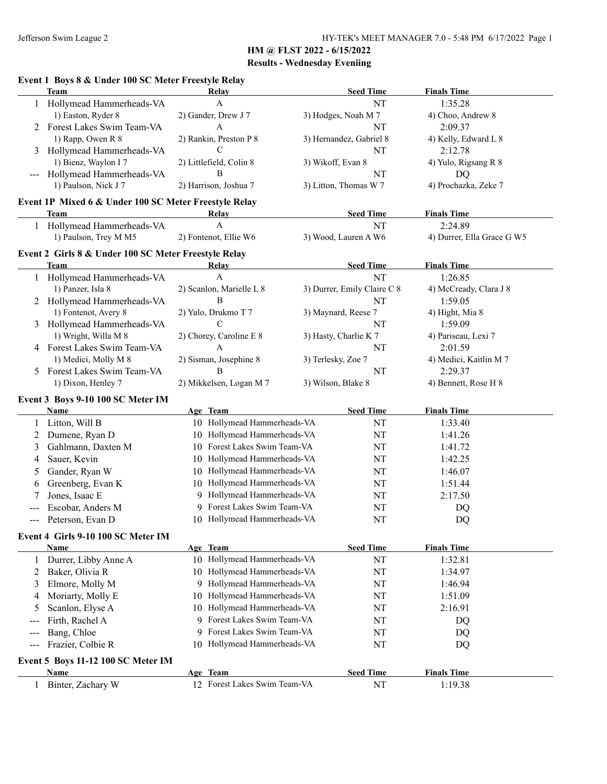|       | Event 1 Boys 8 & Under 100 SC Meter Freestyle Relay   |                                |                               |                                 |
|-------|-------------------------------------------------------|--------------------------------|-------------------------------|---------------------------------|
|       | <b>Team</b>                                           | Relay<br>$\mathbf{A}$          | <b>Seed Time</b><br><b>NT</b> | <b>Finals Time</b><br>1:35.28   |
|       | Hollymead Hammerheads-VA                              |                                |                               |                                 |
|       | 1) Easton, Ryder 8<br>2 Forest Lakes Swim Team-VA     | 2) Gander, Drew J 7<br>A       | 3) Hodges, Noah M 7<br>NT     | 4) Choo, Andrew 8               |
|       | 1) Rapp, Owen R 8                                     | 2) Rankin, Preston P 8         | 3) Hernandez, Gabriel 8       | 2:09.37<br>4) Kelly, Edward L 8 |
|       |                                                       | C                              | NT                            | 2:12.78                         |
| 3     | Hollymead Hammerheads-VA<br>1) Bienz, Waylon I 7      | 2) Littlefield, Colin 8        | 3) Wikoff, Evan 8             |                                 |
|       | Hollymead Hammerheads-VA                              | B                              | NT                            | 4) Yulo, Rigsang R 8            |
|       | 1) Paulson, Nick J 7                                  | 2) Harrison, Joshua 7          | 3) Litton, Thomas W 7         | DQ<br>4) Prochazka, Zeke 7      |
|       |                                                       |                                |                               |                                 |
|       | Event 1P Mixed 6 & Under 100 SC Meter Freestyle Relay |                                |                               |                                 |
|       | Team                                                  | Relay                          | <b>Seed Time</b>              | <b>Finals Time</b>              |
|       | 1 Hollymead Hammerheads-VA                            | $\mathbf{A}$                   | NT                            | 2:24.89                         |
|       | 1) Paulson, Trey M M5                                 | 2) Fontenot, Ellie W6          | 3) Wood, Lauren A W6          | 4) Durrer, Ella Grace G W5      |
|       | Event 2 Girls 8 & Under 100 SC Meter Freestyle Relay  |                                |                               |                                 |
|       | <b>Team</b>                                           | <b>Relay</b>                   | <b>Seed Time</b>              | <b>Finals Time</b>              |
|       | 1 Hollymead Hammerheads-VA                            | A                              | NT                            | 1:26.85                         |
|       | 1) Panzer, Isla 8                                     | 2) Scanlon, Marielle L 8       | 3) Durrer, Emily Claire C 8   | 4) McCready, Clara J 8          |
|       | 2 Hollymead Hammerheads-VA                            | B                              | NT                            | 1:59.05                         |
|       | 1) Fontenot, Avery 8                                  | 2) Yulo, Drukmo T 7            | 3) Maynard, Reese 7           | 4) Hight, Mia 8                 |
|       | 3 Hollymead Hammerheads-VA                            | C                              | NT                            | 1:59.09                         |
|       | 1) Wright, Willa M 8                                  | 2) Chorey, Caroline E 8        | 3) Hasty, Charlie K 7         | 4) Pariseau, Lexi 7             |
|       | 4 Forest Lakes Swim Team-VA                           | A                              | NT                            | 2:01.59                         |
|       | 1) Medici, Molly M 8                                  | 2) Sisman, Josephine 8         | 3) Terlesky, Zoe 7            | 4) Medici, Kaitlin M 7          |
| 5     | Forest Lakes Swim Team-VA                             | B                              | NT                            | 2:29.37                         |
|       | 1) Dixon, Henley 7                                    | 2) Mikkelsen, Logan M 7        | 3) Wilson, Blake 8            | 4) Bennett, Rose H 8            |
|       | Event 3 Boys 9-10 100 SC Meter IM                     |                                |                               |                                 |
|       | <b>Name</b>                                           | Age Team                       | <b>Seed Time</b>              | <b>Finals Time</b>              |
| 1     | Litton, Will B                                        | 10 Hollymead Hammerheads-VA    | NT                            | 1:33.40                         |
| 2     | Dumene, Ryan D                                        | 10 Hollymead Hammerheads-VA    | NT                            | 1:41.26                         |
| 3     | Gahlmann, Daxten M                                    | 10 Forest Lakes Swim Team-VA   | NT                            | 1:41.72                         |
| 4     | Sauer, Kevin                                          | 10 Hollymead Hammerheads-VA    | NT                            | 1:42.25                         |
| 5     | Gander, Ryan W                                        | 10 Hollymead Hammerheads-VA    | NT                            | 1:46.07                         |
| 6     | Greenberg, Evan K                                     | Hollymead Hammerheads-VA<br>10 | NT                            | 1:51.44                         |
| 7     | Jones, Isaac E                                        | Hollymead Hammerheads-VA       | NT                            | 2:17.50                         |
|       | Escobar, Anders M                                     | 9 Forest Lakes Swim Team-VA    | NT                            | DQ                              |
|       | Peterson, Evan D                                      | 10 Hollymead Hammerheads-VA    | $\rm{NT}$                     | $\mathbf{D}\mathbf{Q}$          |
|       | Event 4 Girls 9-10 100 SC Meter IM                    |                                |                               |                                 |
|       | <b>Name</b>                                           | Age Team                       | <b>Seed Time</b>              | <b>Finals Time</b>              |
| 1     | Durrer, Libby Anne A                                  | 10 Hollymead Hammerheads-VA    | NT                            | 1:32.81                         |
| 2     | Baker, Olivia R                                       | 10 Hollymead Hammerheads-VA    | NT                            | 1:34.97                         |
| 3     | Elmore, Molly M                                       | Hollymead Hammerheads-VA<br>9. | NT                            | 1:46.94                         |
| 4     | Moriarty, Molly E                                     | Hollymead Hammerheads-VA<br>10 | NT                            | 1:51.09                         |
| 5     | Scanlon, Elyse A                                      | Hollymead Hammerheads-VA<br>10 | NT                            | 2:16.91                         |
| $---$ | Firth, Rachel A                                       | Forest Lakes Swim Team-VA<br>9 | NT                            | DQ                              |
| ---   | Bang, Chloe                                           | Forest Lakes Swim Team-VA<br>9 | NT                            | DQ                              |
|       | Frazier, Colbie R                                     | 10 Hollymead Hammerheads-VA    | NT                            | DQ                              |
| $---$ |                                                       |                                |                               |                                 |
|       | Event 5 Boys 11-12 100 SC Meter IM                    |                                |                               |                                 |
|       | Name                                                  | Age Team                       | <b>Seed Time</b>              | <b>Finals Time</b>              |
| 1     | Binter, Zachary W                                     | 12 Forest Lakes Swim Team-VA   | NT                            | 1:19.38                         |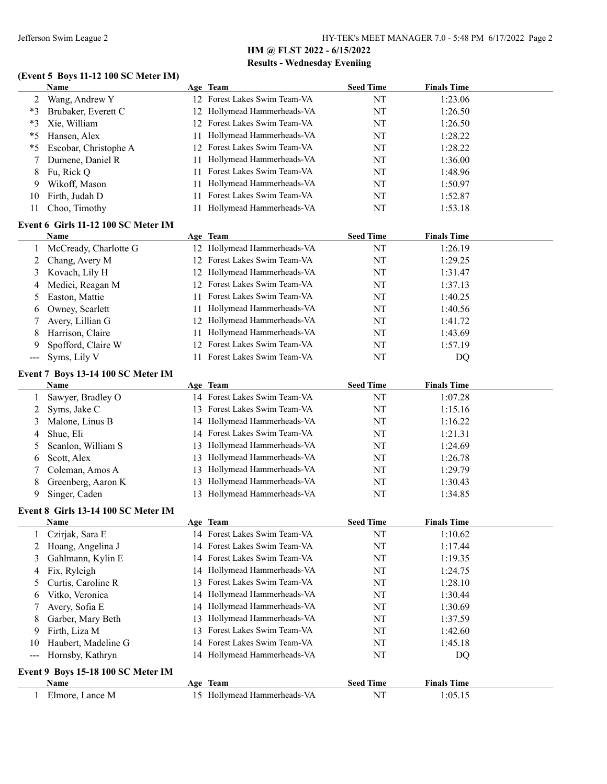## **(Event 5 Boys 11-12 100 SC Meter IM)**

|              | Name                                |    | Age Team                                | <b>Seed Time</b>       | <b>Finals Time</b>            |
|--------------|-------------------------------------|----|-----------------------------------------|------------------------|-------------------------------|
| 2            | Wang, Andrew Y                      |    | 12 Forest Lakes Swim Team-VA            | NT                     | 1:23.06                       |
| $*3$         | Brubaker, Everett C                 | 12 | Hollymead Hammerheads-VA                | NT                     | 1:26.50                       |
| $*3$         | Xie, William                        | 12 | Forest Lakes Swim Team-VA               | NT                     | 1:26.50                       |
| $*5$         | Hansen, Alex                        | 11 | Hollymead Hammerheads-VA                | NT                     | 1:28.22                       |
| *5           | Escobar, Christophe A               | 12 | Forest Lakes Swim Team-VA               | NT                     | 1:28.22                       |
| 7            | Dumene, Daniel R                    | 11 | Hollymead Hammerheads-VA                | NT                     | 1:36.00                       |
| 8            | Fu, Rick Q                          | 11 | Forest Lakes Swim Team-VA               | NT                     | 1:48.96                       |
| 9            | Wikoff, Mason                       | 11 | Hollymead Hammerheads-VA                | NT                     | 1:50.97                       |
| 10           | Firth, Judah D                      | 11 | Forest Lakes Swim Team-VA               | NT                     | 1:52.87                       |
| 11           | Choo, Timothy                       | 11 | Hollymead Hammerheads-VA                | NT                     | 1:53.18                       |
|              |                                     |    |                                         |                        |                               |
|              | Event 6 Girls 11-12 100 SC Meter IM |    |                                         |                        |                               |
|              | Name                                |    | Age Team<br>12 Hollymead Hammerheads-VA | <b>Seed Time</b><br>NT | <b>Finals Time</b><br>1:26.19 |
| 1            | McCready, Charlotte G               |    | 12 Forest Lakes Swim Team-VA            |                        |                               |
| 2            | Chang, Avery M                      |    |                                         | NT                     | 1:29.25                       |
| 3            | Kovach, Lily H                      | 12 | Hollymead Hammerheads-VA                | NT                     | 1:31.47                       |
| 4            | Medici, Reagan M                    | 12 | Forest Lakes Swim Team-VA               | NT                     | 1:37.13                       |
| 5            | Easton, Mattie                      | 11 | Forest Lakes Swim Team-VA               | NT                     | 1:40.25                       |
| 6            | Owney, Scarlett                     | 11 | Hollymead Hammerheads-VA                | NT                     | 1:40.56                       |
| 7            | Avery, Lillian G                    |    | 12 Hollymead Hammerheads-VA             | NT                     | 1:41.72                       |
| 8            | Harrison, Claire                    | 11 | Hollymead Hammerheads-VA                | NT                     | 1:43.69                       |
| 9            | Spofford, Claire W                  | 12 | Forest Lakes Swim Team-VA               | NT                     | 1:57.19                       |
| $--$         | Syms, Lily V                        | 11 | Forest Lakes Swim Team-VA               | NT                     | DQ                            |
|              | Event 7 Boys 13-14 100 SC Meter IM  |    |                                         |                        |                               |
|              | <b>Name</b>                         |    | Age Team                                | <b>Seed Time</b>       | <b>Finals Time</b>            |
| 1            | Sawyer, Bradley O                   |    | 14 Forest Lakes Swim Team-VA            | NT                     | 1:07.28                       |
| 2            | Syms, Jake C                        | 13 | Forest Lakes Swim Team-VA               | NT                     | 1:15.16                       |
| 3            | Malone, Linus B                     | 14 | Hollymead Hammerheads-VA                | NT                     | 1:16.22                       |
| 4            | Shue, Eli                           | 14 | Forest Lakes Swim Team-VA               | NT                     | 1:21.31                       |
| 5            | Scanlon, William S                  | 13 | Hollymead Hammerheads-VA                | NT                     | 1:24.69                       |
| 6            | Scott, Alex                         | 13 | Hollymead Hammerheads-VA                | NT                     | 1:26.78                       |
| 7            | Coleman, Amos A                     | 13 | Hollymead Hammerheads-VA                | NT                     | 1:29.79                       |
| 8            | Greenberg, Aaron K                  | 13 | Hollymead Hammerheads-VA                | NT                     | 1:30.43                       |
| 9            | Singer, Caden                       |    | 13 Hollymead Hammerheads-VA             | NT                     | 1:34.85                       |
|              | Event 8 Girls 13-14 100 SC Meter IM |    |                                         |                        |                               |
|              | <b>Name</b>                         |    | Age Team                                | <b>Seed Time</b>       | <b>Finals Time</b>            |
|              | Czirjak, Sara E                     |    | 14 Forest Lakes Swim Team-VA            | NT                     | 1:10.62                       |
| 2            | Hoang, Angelina J                   | 14 | Forest Lakes Swim Team-VA               | NT                     | 1:17.44                       |
| 3            | Gahlmann, Kylin E                   | 14 | Forest Lakes Swim Team-VA               | NT                     | 1:19.35                       |
| 4            | Fix, Ryleigh                        | 14 | Hollymead Hammerheads-VA                | NT                     | 1:24.75                       |
| 5            | Curtis, Caroline R                  | 13 | Forest Lakes Swim Team-VA               | NT                     | 1:28.10                       |
| 6            | Vitko, Veronica                     | 14 | Hollymead Hammerheads-VA                | NT                     | 1:30.44                       |
| 7            | Avery, Sofia E                      | 14 | Hollymead Hammerheads-VA                | NT                     | 1:30.69                       |
| 8            | Garber, Mary Beth                   | 13 | Hollymead Hammerheads-VA                | NT                     | 1:37.59                       |
| 9            | Firth, Liza M                       | 13 | Forest Lakes Swim Team-VA               | NT                     | 1:42.60                       |
| 10           | Haubert, Madeline G                 | 14 | Forest Lakes Swim Team-VA               | NT                     | 1:45.18                       |
| $--$         | Hornsby, Kathryn                    |    | 14 Hollymead Hammerheads-VA             | NT                     | DQ                            |
|              |                                     |    |                                         |                        |                               |
|              | Event 9 Boys 15-18 100 SC Meter IM  |    |                                         |                        |                               |
|              | Name                                |    | Age Team                                | <b>Seed Time</b>       | <b>Finals Time</b>            |
| $\mathbf{1}$ | Elmore, Lance M                     |    | 15 Hollymead Hammerheads-VA             | $\rm{NT}$              | 1:05.15                       |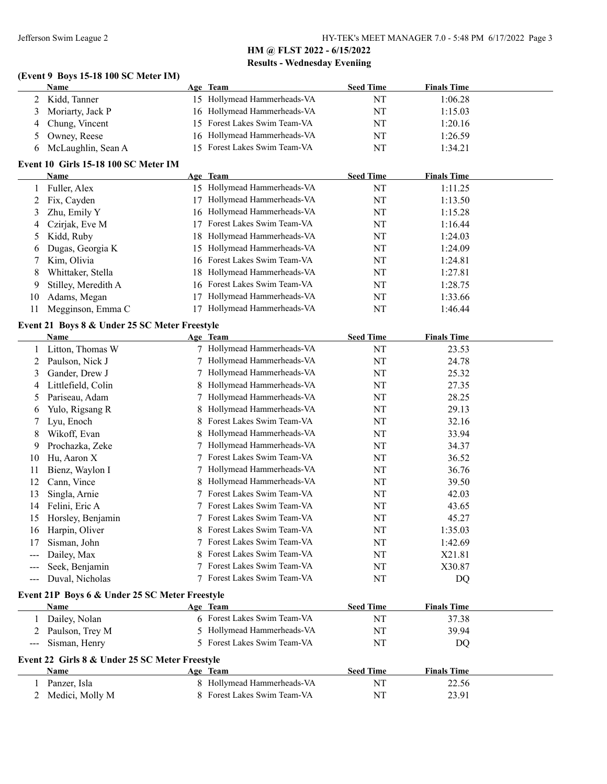#### **(Event 9 Boys 15-18 100 SC Meter IM)**

|   | <b>Name</b>        | Age Team                     | <b>Seed Time</b> | <b>Finals Time</b> |
|---|--------------------|------------------------------|------------------|--------------------|
|   | 2 Kidd, Tanner     | 15 Hollymead Hammerheads-VA  | NT               | 1:06.28            |
|   | 3 Moriarty, Jack P | 16 Hollymead Hammerheads-VA  | NT               | 1:15.03            |
| 4 | Chung, Vincent     | 15 Forest Lakes Swim Team-VA | NT               | 1:20.16            |
|   | 5 Owney, Reese     | 16 Hollymead Hammerheads-VA  | NT               | 1:26.59            |
| h | McLaughlin, Sean A | 15 Forest Lakes Swim Team-VA | NT               | 1:34.21            |

#### **Event 10 Girls 15-18 100 SC Meter IM**

|                | Name                                           |    | Age Team                     | <b>Seed Time</b> | <b>Finals Time</b> |  |
|----------------|------------------------------------------------|----|------------------------------|------------------|--------------------|--|
| 1              | Fuller, Alex                                   |    | 15 Hollymead Hammerheads-VA  | NT               | 1:11.25            |  |
| $\overline{c}$ | Fix, Cayden                                    |    | 17 Hollymead Hammerheads-VA  | NT               | 1:13.50            |  |
| 3              | Zhu, Emily Y                                   |    | 16 Hollymead Hammerheads-VA  | NT               | 1:15.28            |  |
| 4              | Czirjak, Eve M                                 |    | 17 Forest Lakes Swim Team-VA | NT               | 1:16.44            |  |
| 5              | Kidd, Ruby                                     | 18 | Hollymead Hammerheads-VA     | NT               | 1:24.03            |  |
| 6              | Dugas, Georgia K                               |    | 15 Hollymead Hammerheads-VA  | NT               | 1:24.09            |  |
| 7              | Kim, Olivia                                    | 16 | Forest Lakes Swim Team-VA    | NT               | 1:24.81            |  |
| 8              | Whittaker, Stella                              |    | 18 Hollymead Hammerheads-VA  | NT               | 1:27.81            |  |
| 9              | Stilley, Meredith A                            |    | 16 Forest Lakes Swim Team-VA | NT               | 1:28.75            |  |
| 10             | Adams, Megan                                   | 17 | Hollymead Hammerheads-VA     | NT               | 1:33.66            |  |
| 11             | Megginson, Emma C                              |    | 17 Hollymead Hammerheads-VA  | NT               | 1:46.44            |  |
|                | Event 21 Boys 8 & Under 25 SC Meter Freestyle  |    |                              |                  |                    |  |
|                | <b>Name</b>                                    |    | Age Team                     | <b>Seed Time</b> | <b>Finals Time</b> |  |
| 1              | Litton, Thomas W                               |    | 7 Hollymead Hammerheads-VA   | NT               | 23.53              |  |
| $\overline{c}$ | Paulson, Nick J                                |    | 7 Hollymead Hammerheads-VA   | NT               | 24.78              |  |
| 3              | Gander, Drew J                                 | 7  | Hollymead Hammerheads-VA     | NT               | 25.32              |  |
| 4              | Littlefield, Colin                             | 8  | Hollymead Hammerheads-VA     | NT               | 27.35              |  |
| 5              | Pariseau, Adam                                 | 7  | Hollymead Hammerheads-VA     | NT               | 28.25              |  |
| 6              | Yulo, Rigsang R                                | 8  | Hollymead Hammerheads-VA     | NT               | 29.13              |  |
| 7              | Lyu, Enoch                                     | 8  | Forest Lakes Swim Team-VA    | NT               | 32.16              |  |
| 8              | Wikoff, Evan                                   | 8  | Hollymead Hammerheads-VA     | NT               | 33.94              |  |
| 9              | Prochazka, Zeke                                | 7  | Hollymead Hammerheads-VA     | NT               | 34.37              |  |
| 10             | Hu, Aaron X                                    |    | Forest Lakes Swim Team-VA    | NT               | 36.52              |  |
| 11             | Bienz, Waylon I                                |    | Hollymead Hammerheads-VA     | NT               | 36.76              |  |
| 12             | Cann, Vince                                    | 8  | Hollymead Hammerheads-VA     | NT               | 39.50              |  |
| 13             | Singla, Arnie                                  | 7  | Forest Lakes Swim Team-VA    | NT               | 42.03              |  |
| 14             | Felini, Eric A                                 |    | 7 Forest Lakes Swim Team-VA  | NT               | 43.65              |  |
| 15             | Horsley, Benjamin                              |    | 7 Forest Lakes Swim Team-VA  | NT               | 45.27              |  |
| 16             | Harpin, Oliver                                 | 8  | Forest Lakes Swim Team-VA    | NT               | 1:35.03            |  |
| 17             | Sisman, John                                   | 7  | Forest Lakes Swim Team-VA    | NT               | 1:42.69            |  |
| ---            | Dailey, Max                                    |    | 8 Forest Lakes Swim Team-VA  | NT               | X21.81             |  |
| ---            | Seek, Benjamin                                 |    | Forest Lakes Swim Team-VA    | NT               | X30.87             |  |
| $---$          | Duval, Nicholas                                |    | 7 Forest Lakes Swim Team-VA  | NT               | DQ                 |  |
|                | Event 21P Boys 6 & Under 25 SC Meter Freestyle |    |                              |                  |                    |  |
|                | Name                                           |    | Age Team                     | <b>Seed Time</b> | <b>Finals Time</b> |  |
| 1              | Dailey, Nolan                                  |    | 6 Forest Lakes Swim Team-VA  | NT               | 37.38              |  |
| 2              | Paulson, Trey M                                |    | 5 Hollymead Hammerheads-VA   | NT               | 39.94              |  |
| ---            | Sisman, Henry                                  |    | 5 Forest Lakes Swim Team-VA  | NT               | DQ                 |  |
|                | Event 22 Girls 8 & Under 25 SC Meter Freestyle |    |                              |                  |                    |  |
|                | <b>Name</b>                                    |    | Age Team                     | <b>Seed Time</b> | <b>Finals Time</b> |  |
| 1              | Panzer, Isla                                   |    | 8 Hollymead Hammerheads-VA   | NT               | 22.56              |  |

2 Medici, Molly M 8 Forest Lakes Swim Team-VA NT 23.91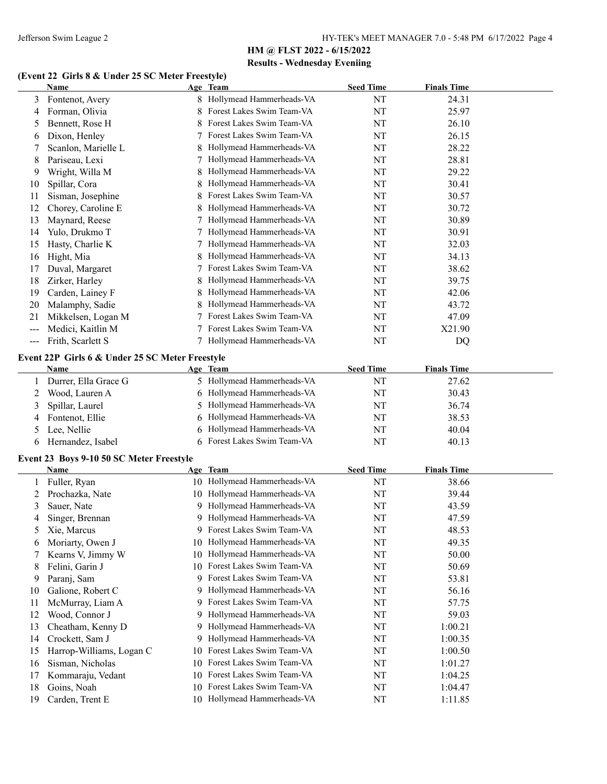## **(Event 22 Girls 8 & Under 25 SC Meter Freestyle)**

|                   | <b>Name</b>                                     |    | Age Team                     | <b>Seed Time</b> | <b>Finals Time</b> |  |
|-------------------|-------------------------------------------------|----|------------------------------|------------------|--------------------|--|
| 3                 | Fontenot, Avery                                 |    | 8 Hollymead Hammerheads-VA   | NT               | 24.31              |  |
| 4                 | Forman, Olivia                                  | 8  | Forest Lakes Swim Team-VA    | NT               | 25.97              |  |
| 5                 | Bennett, Rose H                                 | 8  | Forest Lakes Swim Team-VA    | NT               | 26.10              |  |
| 6                 | Dixon, Henley                                   |    | Forest Lakes Swim Team-VA    | NT               | 26.15              |  |
| 7                 | Scanlon, Marielle L                             | 8  | Hollymead Hammerheads-VA     | NT               | 28.22              |  |
| 8                 | Pariseau, Lexi                                  | 7  | Hollymead Hammerheads-VA     | NT               | 28.81              |  |
| 9                 | Wright, Willa M                                 | 8  | Hollymead Hammerheads-VA     | NT               | 29.22              |  |
| 10                | Spillar, Cora                                   |    | Hollymead Hammerheads-VA     | NT               | 30.41              |  |
| 11                | Sisman, Josephine                               |    | Forest Lakes Swim Team-VA    | NT               | 30.57              |  |
| 12                | Chorey, Caroline E                              |    | Hollymead Hammerheads-VA     | NT               | 30.72              |  |
| 13                | Maynard, Reese                                  |    | Hollymead Hammerheads-VA     | NT               | 30.89              |  |
| 14                | Yulo, Drukmo T                                  |    | Hollymead Hammerheads-VA     | NT               | 30.91              |  |
| 15                | Hasty, Charlie K                                |    | Hollymead Hammerheads-VA     | NT               | 32.03              |  |
| 16                | Hight, Mia                                      |    | Hollymead Hammerheads-VA     | NT               | 34.13              |  |
| 17                | Duval, Margaret                                 |    | Forest Lakes Swim Team-VA    | NT               | 38.62              |  |
| 18                | Zirker, Harley                                  |    | Hollymead Hammerheads-VA     | NT               | 39.75              |  |
| 19                | Carden, Lainey F                                |    | Hollymead Hammerheads-VA     | NT               | 42.06              |  |
| 20                | Malamphy, Sadie                                 | 8  | Hollymead Hammerheads-VA     | NT               | 43.72              |  |
| 21                | Mikkelsen, Logan M                              |    | Forest Lakes Swim Team-VA    | NT               | 47.09              |  |
| $---$             | Medici, Kaitlin M                               |    | Forest Lakes Swim Team-VA    | NT               | X21.90             |  |
| $\qquad \qquad -$ | Frith, Scarlett S                               |    | 7 Hollymead Hammerheads-VA   | NT               | DQ                 |  |
|                   |                                                 |    |                              |                  |                    |  |
|                   | Event 22P Girls 6 & Under 25 SC Meter Freestyle |    |                              |                  |                    |  |
|                   | Name                                            |    | Age Team                     | <b>Seed Time</b> | <b>Finals Time</b> |  |
|                   | Durrer, Ella Grace G                            |    | 5 Hollymead Hammerheads-VA   | NT               | 27.62              |  |
| 2                 | Wood, Lauren A                                  | 6  | Hollymead Hammerheads-VA     | NT               | 30.43              |  |
| 3                 | Spillar, Laurel                                 | 5  | Hollymead Hammerheads-VA     | NT               | 36.74              |  |
| 4                 | Fontenot, Ellie                                 | 6  | Hollymead Hammerheads-VA     | NT               | 38.53              |  |
| 5                 | Lee, Nellie                                     | 6  | Hollymead Hammerheads-VA     | NT               | 40.04              |  |
| 6                 | Hernandez, Isabel                               |    | 6 Forest Lakes Swim Team-VA  | NT               | 40.13              |  |
|                   | Event 23 Boys 9-10 50 SC Meter Freestyle        |    |                              |                  |                    |  |
|                   | Name                                            |    | Age Team                     | <b>Seed Time</b> | <b>Finals Time</b> |  |
|                   | Fuller, Ryan                                    |    | 10 Hollymead Hammerheads-VA  | NT               | 38.66              |  |
| 2                 | Prochazka, Nate                                 |    | 10 Hollymead Hammerheads-VA  | NT               | 39.44              |  |
| 3                 | Sauer, Nate                                     |    | 9 Hollymead Hammerheads-VA   | NT               | 43.59              |  |
| 4                 | Singer, Brennan                                 |    | 9 Hollymead Hammerheads-VA   | NT               | 47.59              |  |
| 5                 | Xie, Marcus                                     |    | 9 Forest Lakes Swim Team-VA  | NT               | 48.53              |  |
| 6                 | Moriarty, Owen J                                |    | 10 Hollymead Hammerheads-VA  | NT               | 49.35              |  |
| 7                 | Kearns V, Jimmy W                               | 10 | Hollymead Hammerheads-VA     | NT               | 50.00              |  |
| 8                 | Felini, Garin J                                 |    | 10 Forest Lakes Swim Team-VA | NT               | 50.69              |  |
| 9                 | Paranj, Sam                                     |    | 9 Forest Lakes Swim Team-VA  | NT               | 53.81              |  |
| 10                | Galione, Robert C                               | 9  | Hollymead Hammerheads-VA     | NT               | 56.16              |  |
| 11                | McMurray, Liam A                                | 9  | Forest Lakes Swim Team-VA    | NT               | 57.75              |  |
| 12                | Wood, Connor J                                  | 9  | Hollymead Hammerheads-VA     | NT               | 59.03              |  |
| 13                | Cheatham, Kenny D                               | 9  | Hollymead Hammerheads-VA     | NT               | 1:00.21            |  |
| 14                | Crockett, Sam J                                 | 9  | Hollymead Hammerheads-VA     | NT               | 1:00.35            |  |
| 15                | Harrop-Williams, Logan C                        | 10 | Forest Lakes Swim Team-VA    | NT               | 1:00.50            |  |
| 16                | Sisman, Nicholas                                | 10 | Forest Lakes Swim Team-VA    | NT               | 1:01.27            |  |
| 17                | Kommaraju, Vedant                               | 10 | Forest Lakes Swim Team-VA    | NT               | 1:04.25            |  |
| 18                | Goins, Noah                                     |    | 10 Forest Lakes Swim Team-VA | NT               | 1:04.47            |  |
| 19                | Carden, Trent E                                 |    | 10 Hollymead Hammerheads-VA  | NT               | 1:11.85            |  |
|                   |                                                 |    |                              |                  |                    |  |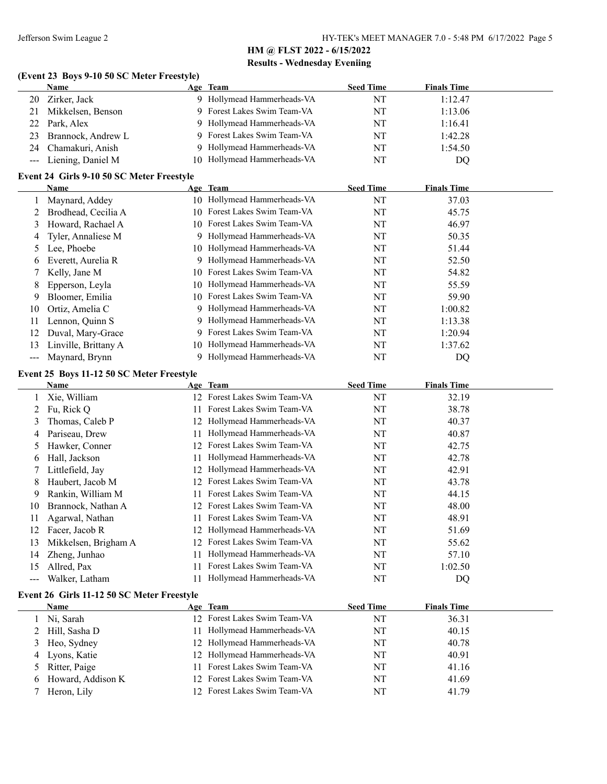#### **(Event 23 Boys 9-10 50 SC Meter Freestyle)**

|    | <b>Name</b>           | Age Team                    | <b>Seed Time</b> | <b>Finals Time</b> |
|----|-----------------------|-----------------------------|------------------|--------------------|
| 20 | Zirker, Jack          | 9 Hollymead Hammerheads-VA  | NT               | 1:12.47            |
|    | 21 Mikkelsen, Benson  | 9 Forest Lakes Swim Team-VA | NT               | 1:13.06            |
|    | 22 Park, Alex         | 9 Hollymead Hammerheads-VA  | NT               | 1:16.41            |
|    | 23 Brannock, Andrew L | 9 Forest Lakes Swim Team-VA | NT               | 1:42.28            |
|    | 24 Chamakuri, Anish   | 9 Hollymead Hammerheads-VA  | NT               | 1:54.50            |
|    | --- Liening, Daniel M | 10 Hollymead Hammerheads-VA | NT               | DO                 |

#### **Event 24 Girls 9-10 50 SC Meter Freestyle**

|                           | Name                 |     | Age Team                     | <b>Seed Time</b> | <b>Finals Time</b> |  |
|---------------------------|----------------------|-----|------------------------------|------------------|--------------------|--|
|                           | Maynard, Addey       | 10. | Hollymead Hammerheads-VA     | NT               | 37.03              |  |
|                           | Brodhead, Cecilia A  | 10. | Forest Lakes Swim Team-VA    | NT               | 45.75              |  |
| 3                         | Howard, Rachael A    |     | 10 Forest Lakes Swim Team-VA | NT               | 46.97              |  |
| 4                         | Tyler, Annaliese M   | 9   | Hollymead Hammerheads-VA     | NT               | 50.35              |  |
| 5.                        | Lee, Phoebe          |     | 10 Hollymead Hammerheads-VA  | NT               | 51.44              |  |
| 6                         | Everett, Aurelia R   | 9.  | Hollymead Hammerheads-VA     | NT               | 52.50              |  |
|                           | Kelly, Jane M        | 10. | Forest Lakes Swim Team-VA    | NT               | 54.82              |  |
| 8                         | Epperson, Leyla      | 10. | Hollymead Hammerheads-VA     | NT               | 55.59              |  |
| 9                         | Bloomer, Emilia      |     | 10 Forest Lakes Swim Team-VA | NT               | 59.90              |  |
| 10                        | Ortiz, Amelia C      | 9.  | Hollymead Hammerheads-VA     | NT               | 1:00.82            |  |
| 11                        | Lennon, Quinn S      | 9   | Hollymead Hammerheads-VA     | NT               | 1:13.38            |  |
| 12                        | Duval, Mary-Grace    |     | Forest Lakes Swim Team-VA    | NT               | 1:20.94            |  |
| 13                        | Linville, Brittany A | 10. | Hollymead Hammerheads-VA     | NT               | 1:37.62            |  |
| $\qquad \qquad -\qquad -$ | Maynard, Brynn       |     | Hollymead Hammerheads-VA     | NT               | DQ                 |  |

#### **Event 25 Boys 11-12 50 SC Meter Freestyle**

|                   | Name                 |                 | Age Team                  | <b>Seed Time</b> | <b>Finals Time</b> |  |
|-------------------|----------------------|-----------------|---------------------------|------------------|--------------------|--|
|                   | Xie, William         | 12 <sup>1</sup> | Forest Lakes Swim Team-VA | NT               | 32.19              |  |
|                   | Fu, Rick O           |                 | Forest Lakes Swim Team-VA | NT               | 38.78              |  |
| 3                 | Thomas, Caleb P      | 12              | Hollymead Hammerheads-VA  | NT               | 40.37              |  |
| 4                 | Pariseau, Drew       |                 | Hollymead Hammerheads-VA  | NT               | 40.87              |  |
| 5                 | Hawker, Conner       | 12              | Forest Lakes Swim Team-VA | NT               | 42.75              |  |
| 6                 | Hall, Jackson        |                 | Hollymead Hammerheads-VA  | NT               | 42.78              |  |
|                   | Littlefield, Jay     | 12.             | Hollymead Hammerheads-VA  | NT               | 42.91              |  |
| 8                 | Haubert, Jacob M     | 12.             | Forest Lakes Swim Team-VA | NT               | 43.78              |  |
| 9                 | Rankin, William M    |                 | Forest Lakes Swim Team-VA | NT               | 44.15              |  |
| 10                | Brannock, Nathan A   | 12.             | Forest Lakes Swim Team-VA | NT               | 48.00              |  |
| 11                | Agarwal, Nathan      |                 | Forest Lakes Swim Team-VA | NT               | 48.91              |  |
| 12                | Facer, Jacob R       | 12.             | Hollymead Hammerheads-VA  | NT               | 51.69              |  |
| 13                | Mikkelsen, Brigham A | 12.             | Forest Lakes Swim Team-VA | NT               | 55.62              |  |
| 14                | Zheng, Junhao        |                 | Hollymead Hammerheads-VA  | NT               | 57.10              |  |
| 15                | Allred, Pax          |                 | Forest Lakes Swim Team-VA | NT               | 1:02.50            |  |
| $\qquad \qquad -$ | Walker, Latham       |                 | Hollymead Hammerheads-VA  | NT               | DO                 |  |

#### **Event 26 Girls 11-12 50 SC Meter Freestyle**

|   | Name                | Age Team                     | <b>Seed Time</b> | <b>Finals Time</b> |
|---|---------------------|------------------------------|------------------|--------------------|
|   | Ni, Sarah           | 12 Forest Lakes Swim Team-VA | NT               | 36.31              |
|   | 2 Hill, Sasha D     | Hollymead Hammerheads-VA     | NT               | 40.15              |
|   | 3 Heo, Sydney       | 12 Hollymead Hammerheads-VA  | NT               | 40.78              |
| 4 | Lyons, Katie        | 12 Hollymead Hammerheads-VA  | NT               | 40.91              |
|   | 5 Ritter, Paige     | 11 Forest Lakes Swim Team-VA | NT               | 41.16              |
|   | 6 Howard, Addison K | 12 Forest Lakes Swim Team-VA | NT               | 41.69              |
|   | Heron, Lily         | 12 Forest Lakes Swim Team-VA | NT               | 41.79              |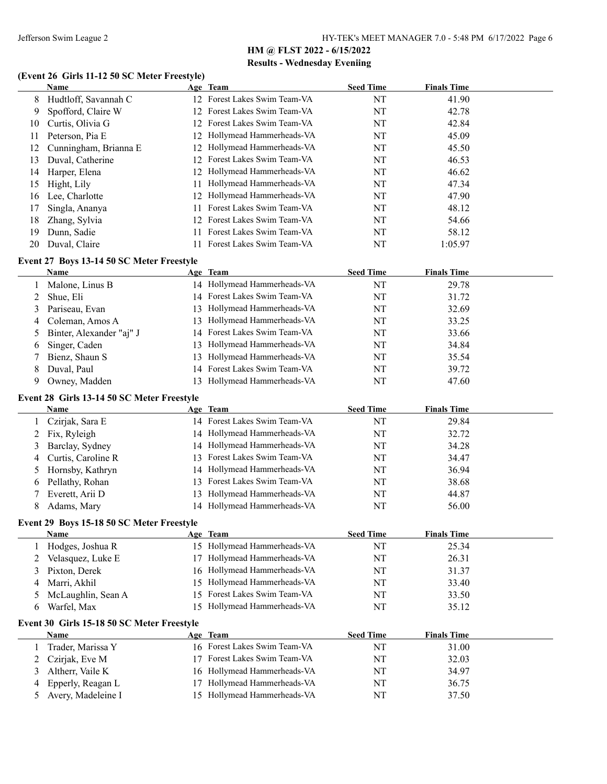#### **(Event 26 Girls 11-12 50 SC Meter Freestyle)**

|    | Name                                       |     | Age Team                     | <b>Seed Time</b> | <b>Finals Time</b> |  |
|----|--------------------------------------------|-----|------------------------------|------------------|--------------------|--|
| 8  | Hudtloff, Savannah C                       |     | 12 Forest Lakes Swim Team-VA | NT               | 41.90              |  |
| 9  | Spofford, Claire W                         |     | 12 Forest Lakes Swim Team-VA | NT               | 42.78              |  |
| 10 | Curtis, Olivia G                           |     | 12 Forest Lakes Swim Team-VA | NT               | 42.84              |  |
| 11 | Peterson, Pia E                            |     | 12 Hollymead Hammerheads-VA  | NT               | 45.09              |  |
| 12 | Cunningham, Brianna E                      |     | 12 Hollymead Hammerheads-VA  | NT               | 45.50              |  |
| 13 | Duval, Catherine                           |     | 12 Forest Lakes Swim Team-VA | NT               | 46.53              |  |
| 14 | Harper, Elena                              | 12  | Hollymead Hammerheads-VA     | NT               | 46.62              |  |
| 15 | Hight, Lily                                | 11  | Hollymead Hammerheads-VA     | NT               | 47.34              |  |
| 16 | Lee, Charlotte                             | 12  | Hollymead Hammerheads-VA     | NT               | 47.90              |  |
| 17 | Singla, Ananya                             | 11  | Forest Lakes Swim Team-VA    | NT               | 48.12              |  |
| 18 | Zhang, Sylvia                              | 12  | Forest Lakes Swim Team-VA    | NT               | 54.66              |  |
| 19 | Dunn, Sadie                                | 11. | Forest Lakes Swim Team-VA    | NT               | 58.12              |  |
| 20 | Duval, Claire                              |     | 11 Forest Lakes Swim Team-VA | NT               | 1:05.97            |  |
|    | Event 27 Boys 13-14 50 SC Meter Freestyle  |     |                              |                  |                    |  |
|    | Name                                       |     | Age Team                     | <b>Seed Time</b> | <b>Finals Time</b> |  |
| 1  | Malone, Linus B                            |     | 14 Hollymead Hammerheads-VA  | NT               | 29.78              |  |
| 2  | Shue, Eli                                  |     | 14 Forest Lakes Swim Team-VA | NT               | 31.72              |  |
| 3  | Pariseau, Evan                             | 13  | Hollymead Hammerheads-VA     | NT               | 32.69              |  |
| 4  | Coleman, Amos A                            | 13  | Hollymead Hammerheads-VA     | NT               | 33.25              |  |
| 5  | Binter, Alexander "aj" J                   | 14  | Forest Lakes Swim Team-VA    | NT               | 33.66              |  |
| 6  | Singer, Caden                              | 13  | Hollymead Hammerheads-VA     | NT               | 34.84              |  |
| 7  | Bienz, Shaun S                             | 13  | Hollymead Hammerheads-VA     | NT               | 35.54              |  |
| 8  | Duval, Paul                                | 14  | Forest Lakes Swim Team-VA    | NT               | 39.72              |  |
| 9  | Owney, Madden                              |     | 13 Hollymead Hammerheads-VA  | NT               | 47.60              |  |
|    | Event 28 Girls 13-14 50 SC Meter Freestyle |     |                              |                  |                    |  |
|    | Name                                       |     | Age Team                     | <b>Seed Time</b> | <b>Finals Time</b> |  |
| 1  | Czirjak, Sara E                            |     | 14 Forest Lakes Swim Team-VA | NT               | 29.84              |  |
| 2  | Fix, Ryleigh                               |     | 14 Hollymead Hammerheads-VA  | NT               | 32.72              |  |
| 3  | Barclay, Sydney                            |     | 14 Hollymead Hammerheads-VA  | NT               | 34.28              |  |
| 4  | Curtis, Caroline R                         | 13  | Forest Lakes Swim Team-VA    | NT               | 34.47              |  |
| 5  | Hornsby, Kathryn                           | 14  | Hollymead Hammerheads-VA     | NT               | 36.94              |  |
| 6  | Pellathy, Rohan                            |     | 13 Forest Lakes Swim Team-VA | NT               | 38.68              |  |
| 7  | Everett, Arii D                            | 13  | Hollymead Hammerheads-VA     | NT               | 44.87              |  |
| 8  | Adams, Mary                                |     | 14 Hollymead Hammerheads-VA  | NT               | 56.00              |  |
|    | Event 29 Boys 15-18 50 SC Meter Freestyle  |     |                              |                  |                    |  |
|    | <b>Name</b>                                |     | Age Team                     | <b>Seed Time</b> | <b>Finals Time</b> |  |
| 1  | Hodges, Joshua R                           |     | 15 Hollymead Hammerheads-VA  | NT               | 25.34              |  |
| 2  | Velasquez, Luke E                          | 17  | Hollymead Hammerheads-VA     | NT               | 26.31              |  |
| 3  | Pixton, Derek                              | 16  | Hollymead Hammerheads-VA     | NT               | 31.37              |  |
| 4  | Marri, Akhil                               | 15  | Hollymead Hammerheads-VA     | NT               | 33.40              |  |
| 5  | McLaughlin, Sean A                         | 15  | Forest Lakes Swim Team-VA    | NT               | 33.50              |  |
| 6  | Warfel, Max                                | 15  | Hollymead Hammerheads-VA     | NT               | 35.12              |  |
|    | Event 30 Girls 15-18 50 SC Meter Freestyle |     |                              |                  |                    |  |
|    | Name                                       |     | Age Team                     | <b>Seed Time</b> | <b>Finals Time</b> |  |
| 1  | Trader, Marissa Y                          |     | 16 Forest Lakes Swim Team-VA | NT               | 31.00              |  |
| 2  | Czirjak, Eve M                             | 17  | Forest Lakes Swim Team-VA    | NT               | 32.03              |  |
| 3  | Altherr, Vaile K                           | 16  | Hollymead Hammerheads-VA     | NT               | 34.97              |  |
| 4  | Epperly, Reagan L                          | 17  | Hollymead Hammerheads-VA     | NT               | 36.75              |  |
| 5  | Avery, Madeleine I                         |     | 15 Hollymead Hammerheads-VA  | NT               | 37.50              |  |
|    |                                            |     |                              |                  |                    |  |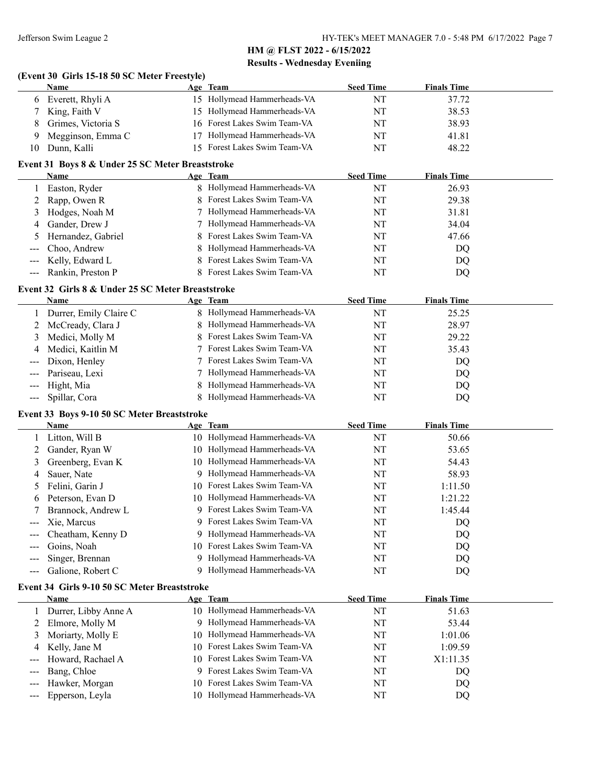#### **(Event 30 Girls 15-18 50 SC Meter Freestyle)**

|    | Name               | Age Team                     | <b>Seed Time</b> | <b>Finals Time</b> |
|----|--------------------|------------------------------|------------------|--------------------|
| 6  | Everett, Rhyli A   | 15 Hollymead Hammerheads-VA  | ΝΊ               | 37.72              |
|    | 7 King, Faith V    | 15 Hollymead Hammerheads-VA  | NT               | 38.53              |
| 8. | Grimes, Victoria S | 16 Forest Lakes Swim Team-VA | NT               | 38.93              |
| 9  | Megginson, Emma C  | 17 Hollymead Hammerheads-VA  | NT               | 41.81              |
| 10 | Dunn, Kalli        | 15 Forest Lakes Swim Team-VA | NΤ               | 48.22              |

#### **Event 31 Boys 8 & Under 25 SC Meter Breaststroke**

| Name                                              |  | Age Team                    | <b>Seed Time</b> | <b>Finals Time</b> |  |  |
|---------------------------------------------------|--|-----------------------------|------------------|--------------------|--|--|
| Easton, Ryder                                     |  | 8 Hollymead Hammerheads-VA  | NT               | 26.93              |  |  |
| 2 Rapp, Owen R                                    |  | 8 Forest Lakes Swim Team-VA | NT               | 29.38              |  |  |
| 3 Hodges, Noah M                                  |  | 7 Hollymead Hammerheads-VA  | NT               | 31.81              |  |  |
| 4 Gander, Drew J                                  |  | 7 Hollymead Hammerheads-VA  | NT               | 34.04              |  |  |
| 5 Hernandez, Gabriel                              |  | 8 Forest Lakes Swim Team-VA | NT               | 47.66              |  |  |
| --- Choo, Andrew                                  |  | 8 Hollymead Hammerheads-VA  | NT               | DQ                 |  |  |
| --- Kelly, Edward L                               |  | 8 Forest Lakes Swim Team-VA | NT               | DQ                 |  |  |
| --- Rankin, Preston P                             |  | 8 Forest Lakes Swim Team-VA | NT               | DQ                 |  |  |
| Event 32 Girls 8 & Under 25 SC Meter Breaststroke |  |                             |                  |                    |  |  |

#### **Name Age Team Seed Time Finals Time** 1 Durrer, Emily Claire C 8 Hollymead Hammerheads-VA NT 25.25 2 McCready, Clara J 8 Hollymead Hammerheads-VA NT 28.97 3 Medici, Molly M 8 Forest Lakes Swim Team-VA NT 29.22 4 Medici, Kaitlin M 7 Forest Lakes Swim Team-VA NT 35.43 --- Dixon, Henley 7 Forest Lakes Swim Team-VA NT DQ --- Pariseau, Lexi 7 Hollymead Hammerheads-VA NT DQ --- Hight, Mia and Sandwick and Sandwick and Sandwick Hammerheads-VA NT NT DQ -- Spillar, Cora 68 Hollymead Hammerheads-VA NT NT DQ

#### **Event 33 Boys 9-10 50 SC Meter Breaststroke**

|                                 | Name               | Age Team                     | <b>Seed Time</b> | <b>Finals Time</b> |
|---------------------------------|--------------------|------------------------------|------------------|--------------------|
|                                 | Litton, Will B     | 10 Hollymead Hammerheads-VA  | NT               | 50.66              |
|                                 | Gander, Ryan W     | 10 Hollymead Hammerheads-VA  | NT               | 53.65              |
|                                 | Greenberg, Evan K  | 10 Hollymead Hammerheads-VA  | NT               | 54.43              |
| 4                               | Sauer, Nate        | 9 Hollymead Hammerheads-VA   | NT               | 58.93              |
|                                 | Felini, Garin J    | 10 Forest Lakes Swim Team-VA | NT               | 1:11.50            |
| 6                               | Peterson, Evan D   | 10 Hollymead Hammerheads-VA  | NT               | 1:21.22            |
|                                 | Brannock, Andrew L | 9 Forest Lakes Swim Team-VA  | NT               | 1:45.44            |
| $\frac{1}{2}$ and $\frac{1}{2}$ | Xie, Marcus        | 9 Forest Lakes Swim Team-VA  | NT               | DQ                 |
| $\qquad \qquad - -$             | Cheatham, Kenny D  | 9 Hollymead Hammerheads-VA   | NT               | DQ                 |
| $---$                           | Goins, Noah        | 10 Forest Lakes Swim Team-VA | NT               | DQ                 |
|                                 | Singer, Brennan    | 9 Hollymead Hammerheads-VA   | NT               | DQ                 |
|                                 | Galione, Robert C  | 9 Hollymead Hammerheads-VA   | NT               | DQ                 |
|                                 |                    |                              |                  |                    |

#### **Event 34 Girls 9-10 50 SC Meter Breaststroke**

|   | Name                  | Age Team                     | <b>Seed Time</b> | <b>Finals Time</b> |  |
|---|-----------------------|------------------------------|------------------|--------------------|--|
|   | Durrer, Libby Anne A  | 10 Hollymead Hammerheads-VA  | NT               | 51.63              |  |
|   | Elmore, Molly M       | 9 Hollymead Hammerheads-VA   | NT               | 53.44              |  |
| 3 | Moriarty, Molly E     | 10 Hollymead Hammerheads-VA  | NT               | 1:01.06            |  |
|   | 4 Kelly, Jane M       | 10 Forest Lakes Swim Team-VA | NT               | 1:09.59            |  |
|   | --- Howard, Rachael A | 10 Forest Lakes Swim Team-VA | NT               | X1:11.35           |  |
|   | --- Bang, Chloe       | 9 Forest Lakes Swim Team-VA  | NT               | DQ.                |  |
|   | --- Hawker, Morgan    | 10 Forest Lakes Swim Team-VA | NT               | DQ                 |  |
|   | --- Epperson, Leyla   | 10 Hollymead Hammerheads-VA  | NT               | DO.                |  |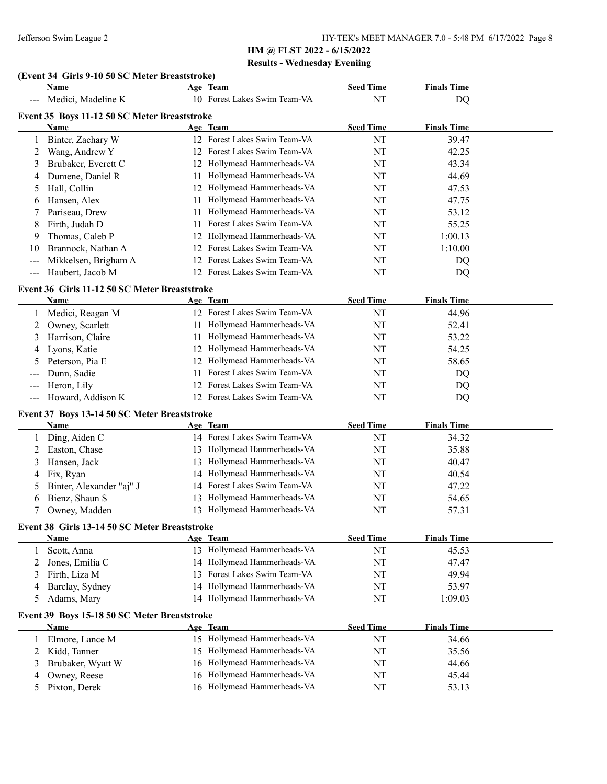## **(Event 34 Girls 9-10 50 SC Meter Breaststroke)**

|                     | Name                                          |     | Age Team                                                   | <b>Seed Time</b> | <b>Finals Time</b> |  |
|---------------------|-----------------------------------------------|-----|------------------------------------------------------------|------------------|--------------------|--|
|                     | Medici, Madeline K                            |     | 10 Forest Lakes Swim Team-VA                               | NT               | DQ                 |  |
|                     | Event 35 Boys 11-12 50 SC Meter Breaststroke  |     |                                                            |                  |                    |  |
|                     | Name                                          |     | Age Team                                                   | <b>Seed Time</b> | <b>Finals Time</b> |  |
| 1                   | Binter, Zachary W                             |     | 12 Forest Lakes Swim Team-VA                               | NT               | 39.47              |  |
| 2                   | Wang, Andrew Y                                |     | 12 Forest Lakes Swim Team-VA                               | NT               | 42.25              |  |
| 3                   | Brubaker, Everett C                           |     | 12 Hollymead Hammerheads-VA                                | NT               | 43.34              |  |
| 4                   | Dumene, Daniel R                              | 11  | Hollymead Hammerheads-VA                                   | NT               | 44.69              |  |
| 5                   | Hall, Collin                                  |     | 12 Hollymead Hammerheads-VA                                | NT               | 47.53              |  |
| 6                   | Hansen, Alex                                  | 11  | Hollymead Hammerheads-VA                                   | NT               | 47.75              |  |
| 7                   | Pariseau, Drew                                | 11  | Hollymead Hammerheads-VA                                   | NT               | 53.12              |  |
| 8                   | Firth, Judah D                                | 11  | Forest Lakes Swim Team-VA                                  | NT               | 55.25              |  |
| 9                   | Thomas, Caleb P                               | 12  | Hollymead Hammerheads-VA                                   | NT               | 1:00.13            |  |
| 10                  | Brannock, Nathan A                            | 12  | Forest Lakes Swim Team-VA                                  | NT               | 1:10.00            |  |
| $---$               | Mikkelsen, Brigham A                          | 12  | Forest Lakes Swim Team-VA                                  | NT               | DQ                 |  |
| $--$                | Haubert, Jacob M                              |     | 12 Forest Lakes Swim Team-VA                               | NT               | DQ                 |  |
|                     | Event 36 Girls 11-12 50 SC Meter Breaststroke |     |                                                            |                  |                    |  |
|                     | <b>Name</b>                                   |     | Age Team                                                   | <b>Seed Time</b> | <b>Finals Time</b> |  |
| 1                   | Medici, Reagan M                              |     | 12 Forest Lakes Swim Team-VA                               | NT               | 44.96              |  |
| 2                   | Owney, Scarlett                               | 11. | Hollymead Hammerheads-VA                                   | NT               | 52.41              |  |
| 3                   | Harrison, Claire                              | 11  | Hollymead Hammerheads-VA                                   | NT               | 53.22              |  |
| 4                   | Lyons, Katie                                  | 12  | Hollymead Hammerheads-VA                                   | NT               | 54.25              |  |
| 5                   | Peterson, Pia E                               | 12  | Hollymead Hammerheads-VA                                   | NT               | 58.65              |  |
|                     | Dunn, Sadie                                   | 11  | Forest Lakes Swim Team-VA                                  | NT               | DQ                 |  |
|                     | Heron, Lily                                   | 12  | Forest Lakes Swim Team-VA                                  | NT               | DQ                 |  |
| $\qquad \qquad - -$ | Howard, Addison K                             |     | 12 Forest Lakes Swim Team-VA                               | NT               | DQ                 |  |
|                     | Event 37 Boys 13-14 50 SC Meter Breaststroke  |     |                                                            |                  |                    |  |
|                     | Name                                          |     | Age Team                                                   | <b>Seed Time</b> | <b>Finals Time</b> |  |
| 1                   | Ding, Aiden C                                 |     | 14 Forest Lakes Swim Team-VA                               | NT               | 34.32              |  |
| 2                   | Easton, Chase                                 |     | 13 Hollymead Hammerheads-VA                                | NT               | 35.88              |  |
| 3                   | Hansen, Jack                                  |     | 13 Hollymead Hammerheads-VA                                | NT               | 40.47              |  |
| 4                   | Fix, Ryan                                     | 14  | Hollymead Hammerheads-VA                                   | NT               | 40.54              |  |
| 5                   | Binter, Alexander "aj" J                      |     | 14 Forest Lakes Swim Team-VA                               | NT               | 47.22              |  |
| 6                   | Bienz, Shaun S                                | 13  | Hollymead Hammerheads-VA                                   | NT               | 54.65              |  |
| 7                   | Owney, Madden                                 |     | 13 Hollymead Hammerheads-VA                                | NT               | 57.31              |  |
|                     |                                               |     |                                                            |                  |                    |  |
|                     | Event 38 Girls 13-14 50 SC Meter Breaststroke |     |                                                            |                  |                    |  |
|                     | <b>Name</b>                                   |     | Age Team                                                   | <b>Seed Time</b> | <b>Finals Time</b> |  |
| 1                   | Scott, Anna                                   |     | 13 Hollymead Hammerheads-VA<br>14 Hollymead Hammerheads-VA | NT<br>NT         | 45.53<br>47.47     |  |
| 2                   | Jones, Emilia C                               |     | Forest Lakes Swim Team-VA                                  |                  |                    |  |
| 3                   | Firth, Liza M                                 | 13  | 14 Hollymead Hammerheads-VA                                | NT               | 49.94              |  |
| 4                   | Barclay, Sydney                               |     | 14 Hollymead Hammerheads-VA                                | NT               | 53.97              |  |
| 5                   | Adams, Mary                                   |     |                                                            | NT               | 1:09.03            |  |
|                     | Event 39 Boys 15-18 50 SC Meter Breaststroke  |     |                                                            |                  |                    |  |
|                     | Name                                          |     | Age Team                                                   | <b>Seed Time</b> | <b>Finals Time</b> |  |
| 1                   | Elmore, Lance M                               |     | 15 Hollymead Hammerheads-VA                                | NT               | 34.66              |  |
| 2                   | Kidd, Tanner                                  |     | 15 Hollymead Hammerheads-VA                                | NT               | 35.56              |  |
| 3                   | Brubaker, Wyatt W                             |     | 16 Hollymead Hammerheads-VA                                | NT               | 44.66              |  |
| 4                   | Owney, Reese                                  |     | 16 Hollymead Hammerheads-VA                                | NT               | 45.44              |  |
| 5                   | Pixton, Derek                                 |     | 16 Hollymead Hammerheads-VA                                | NT               | 53.13              |  |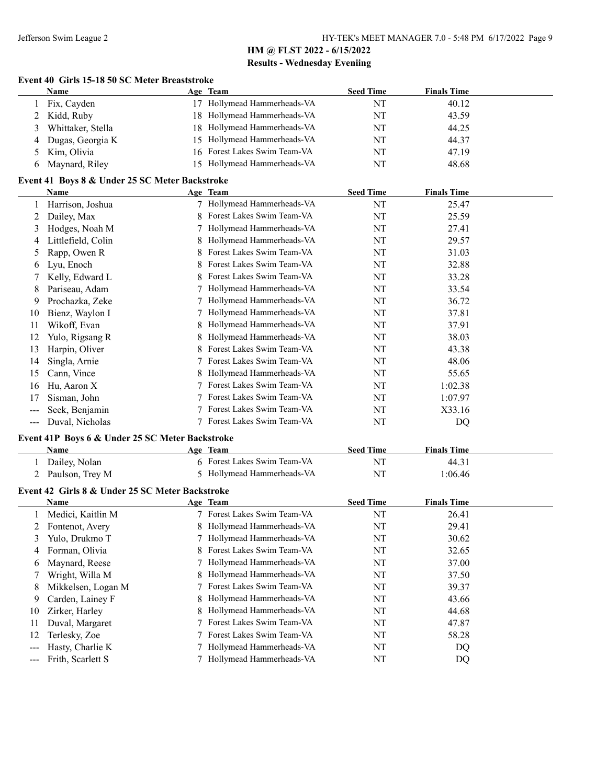#### **Event 40 Girls 15-18 50 SC Meter Breaststroke**

|   | Name              | <u>Age Team</u>              | <b>Seed Time</b> | <b>Finals Time</b> |
|---|-------------------|------------------------------|------------------|--------------------|
|   | Fix, Cayden       | 17 Hollymead Hammerheads-VA  | NT               | 40.12              |
|   | 2 Kidd, Ruby      | 18 Hollymead Hammerheads-VA  | NT               | 43.59              |
| 3 | Whittaker, Stella | 18 Hollymead Hammerheads-VA  | NT               | 44.25              |
| 4 | Dugas, Georgia K  | 15 Hollymead Hammerheads-VA  | NT               | 44.37              |
|   | 5 Kim, Olivia     | 16 Forest Lakes Swim Team-VA | NT               | 47.19              |
|   | Maynard, Riley    | 15 Hollymead Hammerheads-VA  | NT               | 48.68              |

## **Event 41 Boys 8 & Under 25 SC Meter Backstroke**

|     | Name               |   | Age Team                  | <b>Seed Time</b> | <b>Finals Time</b> |  |
|-----|--------------------|---|---------------------------|------------------|--------------------|--|
|     | Harrison, Joshua   |   | Hollymead Hammerheads-VA  | NT               | 25.47              |  |
|     | Dailey, Max        | 8 | Forest Lakes Swim Team-VA | NT               | 25.59              |  |
| 3   | Hodges, Noah M     |   | Hollymead Hammerheads-VA  | NT               | 27.41              |  |
| 4   | Littlefield, Colin |   | Hollymead Hammerheads-VA  | NT               | 29.57              |  |
| 5.  | Rapp, Owen R       |   | Forest Lakes Swim Team-VA | NT               | 31.03              |  |
| b   | Lyu, Enoch         |   | Forest Lakes Swim Team-VA | NT               | 32.88              |  |
|     | Kelly, Edward L    |   | Forest Lakes Swim Team-VA | NT               | 33.28              |  |
| 8   | Pariseau, Adam     |   | Hollymead Hammerheads-VA  | NT               | 33.54              |  |
| 9   | Prochazka, Zeke    |   | Hollymead Hammerheads-VA  | NT               | 36.72              |  |
| 10  | Bienz, Waylon I    |   | Hollymead Hammerheads-VA  | NT               | 37.81              |  |
| 11  | Wikoff, Evan       | 8 | Hollymead Hammerheads-VA  | NT               | 37.91              |  |
| 12  | Yulo, Rigsang R    |   | Hollymead Hammerheads-VA  | NT               | 38.03              |  |
| 13  | Harpin, Oliver     |   | Forest Lakes Swim Team-VA | NT               | 43.38              |  |
| 14  | Singla, Arnie      |   | Forest Lakes Swim Team-VA | NT               | 48.06              |  |
| 15  | Cann, Vince        |   | Hollymead Hammerheads-VA  | NT               | 55.65              |  |
| 16  | Hu, Aaron X        |   | Forest Lakes Swim Team-VA | NT               | 1:02.38            |  |
| 17  | Sisman, John       |   | Forest Lakes Swim Team-VA | NT               | 1:07.97            |  |
| --- | Seek, Benjamin     |   | Forest Lakes Swim Team-VA | NT               | X33.16             |  |
| --- | Duval, Nicholas    |   | Forest Lakes Swim Team-VA | NT               | DQ                 |  |

#### **Event 41P Boys 6 & Under 25 SC Meter Backstroke**

| <b>Name</b>       | Age Team                    | <b>Seed Time</b> | <b>Finals Time</b> |  |
|-------------------|-----------------------------|------------------|--------------------|--|
| Dailey, Nolan     | 6 Forest Lakes Swim Team-VA | NT               | 44.31              |  |
| 2 Paulson, Trey M | 5 Hollymead Hammerheads-VA  | NT               | 1:06.46            |  |
|                   |                             |                  |                    |  |

## **Event 42 Girls 8 & Under 25 SC Meter Backstroke**

| Name                   |  | <b>Seed Time</b>                                                                                                                                                                                                                                                                                                                                                                                                | <b>Finals Time</b> |
|------------------------|--|-----------------------------------------------------------------------------------------------------------------------------------------------------------------------------------------------------------------------------------------------------------------------------------------------------------------------------------------------------------------------------------------------------------------|--------------------|
| Medici, Kaitlin M      |  | NT                                                                                                                                                                                                                                                                                                                                                                                                              | 26.41              |
| 2 Fontenot, Avery      |  | NT                                                                                                                                                                                                                                                                                                                                                                                                              | 29.41              |
| Yulo, Drukmo T         |  | NT                                                                                                                                                                                                                                                                                                                                                                                                              | 30.62              |
| Forman, Olivia         |  | NT                                                                                                                                                                                                                                                                                                                                                                                                              | 32.65              |
| Maynard, Reese         |  | NT                                                                                                                                                                                                                                                                                                                                                                                                              | 37.00              |
| Wright, Willa M        |  | NT                                                                                                                                                                                                                                                                                                                                                                                                              | 37.50              |
| Mikkelsen, Logan M     |  | NT                                                                                                                                                                                                                                                                                                                                                                                                              | 39.37              |
| Carden, Lainey F<br>-9 |  | NT                                                                                                                                                                                                                                                                                                                                                                                                              | 43.66              |
| Zirker, Harley         |  | NT                                                                                                                                                                                                                                                                                                                                                                                                              | 44.68              |
| Duval, Margaret        |  | NT                                                                                                                                                                                                                                                                                                                                                                                                              | 47.87              |
| Terlesky, Zoe          |  | NT                                                                                                                                                                                                                                                                                                                                                                                                              | 58.28              |
| Hasty, Charlie K       |  | NT                                                                                                                                                                                                                                                                                                                                                                                                              | DQ                 |
| Frith, Scarlett S      |  | NT                                                                                                                                                                                                                                                                                                                                                                                                              | DQ                 |
|                        |  | Age Team<br>7 Forest Lakes Swim Team-VA<br>8 Hollymead Hammerheads-VA<br>7 Hollymead Hammerheads-VA<br>8 Forest Lakes Swim Team-VA<br>7 Hollymead Hammerheads-VA<br>8 Hollymead Hammerheads-VA<br>7 Forest Lakes Swim Team-VA<br>8 Hollymead Hammerheads-VA<br>8 Hollymead Hammerheads-VA<br>7 Forest Lakes Swim Team-VA<br>7 Forest Lakes Swim Team-VA<br>Hollymead Hammerheads-VA<br>Hollymead Hammerheads-VA |                    |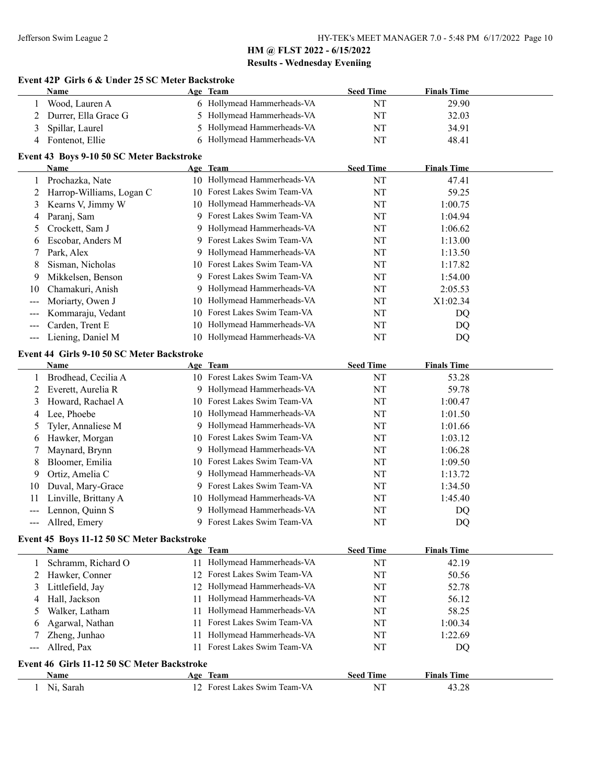#### **Event 42P Girls 6 & Under 25 SC Meter Backstroke**

| Name                                      |  | Age Team                   | <b>Seed Time</b> | <b>Finals Time</b> |  |  |
|-------------------------------------------|--|----------------------------|------------------|--------------------|--|--|
| Wood, Lauren A                            |  | 6 Hollymead Hammerheads-VA | NT               | 29.90              |  |  |
| 2 Durrer, Ella Grace G                    |  | 5 Hollymead Hammerheads-VA | NT               | 32.03              |  |  |
| 3 Spillar, Laurel                         |  | 5 Hollymead Hammerheads-VA | NT               | 34.91              |  |  |
| 4 Fontenot, Ellie                         |  | 6 Hollymead Hammerheads-VA | NT               | 48.41              |  |  |
| Event 43 Boys 9-10 50 SC Meter Backstroke |  |                            |                  |                    |  |  |

| Name                     |                          |                           | <b>Seed Time</b>                                                                                                                                                                                                                                                                                                                                                                                                               | <b>Finals Time</b> |  |
|--------------------------|--------------------------|---------------------------|--------------------------------------------------------------------------------------------------------------------------------------------------------------------------------------------------------------------------------------------------------------------------------------------------------------------------------------------------------------------------------------------------------------------------------|--------------------|--|
| Prochazka, Nate          |                          |                           | NT                                                                                                                                                                                                                                                                                                                                                                                                                             | 47.41              |  |
| Harrop-Williams, Logan C | 10                       | Forest Lakes Swim Team-VA | NT                                                                                                                                                                                                                                                                                                                                                                                                                             | 59.25              |  |
|                          |                          |                           | NT                                                                                                                                                                                                                                                                                                                                                                                                                             | 1:00.75            |  |
| Paranj, Sam              |                          |                           | NT                                                                                                                                                                                                                                                                                                                                                                                                                             | 1:04.94            |  |
| Crockett, Sam J          |                          |                           | NT                                                                                                                                                                                                                                                                                                                                                                                                                             | 1:06.62            |  |
| Escobar, Anders M        |                          |                           | NT                                                                                                                                                                                                                                                                                                                                                                                                                             | 1:13.00            |  |
| Park, Alex               |                          |                           | NT                                                                                                                                                                                                                                                                                                                                                                                                                             | 1:13.50            |  |
| Sisman, Nicholas         |                          |                           | NT                                                                                                                                                                                                                                                                                                                                                                                                                             | 1:17.82            |  |
| Mikkelsen, Benson        |                          |                           | NT                                                                                                                                                                                                                                                                                                                                                                                                                             | 1:54.00            |  |
| Chamakuri, Anish         |                          |                           | NT                                                                                                                                                                                                                                                                                                                                                                                                                             | 2:05.53            |  |
| Moriarty, Owen J         |                          |                           | NT                                                                                                                                                                                                                                                                                                                                                                                                                             | X1:02.34           |  |
| Kommaraju, Vedant        |                          |                           | NT                                                                                                                                                                                                                                                                                                                                                                                                                             | DQ                 |  |
| Carden, Trent E          |                          |                           | NT                                                                                                                                                                                                                                                                                                                                                                                                                             | DQ                 |  |
| Liening, Daniel M        | 10.                      |                           | NT                                                                                                                                                                                                                                                                                                                                                                                                                             | DQ                 |  |
|                          | 2<br>3 Kearns V, Jimmy W |                           | Age Team<br>10 Hollymead Hammerheads-VA<br>10 Hollymead Hammerheads-VA<br>9 Forest Lakes Swim Team-VA<br>9 Hollymead Hammerheads-VA<br>9 Forest Lakes Swim Team-VA<br>9 Hollymead Hammerheads-VA<br>10 Forest Lakes Swim Team-VA<br>9 Forest Lakes Swim Team-VA<br>9 Hollymead Hammerheads-VA<br>10 Hollymead Hammerheads-VA<br>Forest Lakes Swim Team-VA<br>10.<br>Hollymead Hammerheads-VA<br>10<br>Hollymead Hammerheads-VA |                    |  |

#### **Event 44 Girls 9-10 50 SC Meter Backstroke**

|    | <b>Name</b>          |     | Age Team                     | <b>Seed Time</b> | <b>Finals Time</b> |
|----|----------------------|-----|------------------------------|------------------|--------------------|
|    | Brodhead, Cecilia A  |     | 10 Forest Lakes Swim Team-VA | NT               | 53.28              |
|    | Everett, Aurelia R   | 9   | Hollymead Hammerheads-VA     | NT               | 59.78              |
| 3  | Howard, Rachael A    | 10. | Forest Lakes Swim Team-VA    | NT               | 1:00.47            |
| 4  | Lee, Phoebe          | 10- | Hollymead Hammerheads-VA     | NT               | 1:01.50            |
|    | 5 Tyler, Annaliese M | 9   | Hollymead Hammerheads-VA     | NT               | 1:01.66            |
| 6  | Hawker, Morgan       |     | 10 Forest Lakes Swim Team-VA | NT               | 1:03.12            |
|    | Maynard, Brynn       | 9   | Hollymead Hammerheads-VA     | NT               | 1:06.28            |
| 8  | Bloomer, Emilia      |     | 10 Forest Lakes Swim Team-VA | NT               | 1:09.50            |
| 9  | Ortiz, Amelia C      |     | 9 Hollymead Hammerheads-VA   | NT               | 1:13.72            |
| 10 | Duval, Mary-Grace    | 9   | Forest Lakes Swim Team-VA    | NT               | 1:34.50            |
| 11 | Linville, Brittany A | 10. | Hollymead Hammerheads-VA     | NT               | 1:45.40            |
|    | Lennon, Quinn S      | 9   | Hollymead Hammerheads-VA     | NT               | DQ                 |
|    | Allred, Emery        |     | Forest Lakes Swim Team-VA    | NT               | DQ                 |

#### **Event 45 Boys 11-12 50 SC Meter Backstroke**

|                                                                                                                                                                                                                                                                                                                                                                                                                                                                            | Name               |     | Age Team                     | <b>Seed Time</b> | <b>Finals Time</b> |  |
|----------------------------------------------------------------------------------------------------------------------------------------------------------------------------------------------------------------------------------------------------------------------------------------------------------------------------------------------------------------------------------------------------------------------------------------------------------------------------|--------------------|-----|------------------------------|------------------|--------------------|--|
|                                                                                                                                                                                                                                                                                                                                                                                                                                                                            | Schramm, Richard O | 11. | Hollymead Hammerheads-VA     | NT               | 42.19              |  |
|                                                                                                                                                                                                                                                                                                                                                                                                                                                                            | 2 Hawker, Conner   |     | 12 Forest Lakes Swim Team-VA | NT               | 50.56              |  |
| 3                                                                                                                                                                                                                                                                                                                                                                                                                                                                          | Littlefield, Jay   |     | 12 Hollymead Hammerheads-VA  | NT               | 52.78              |  |
| 4                                                                                                                                                                                                                                                                                                                                                                                                                                                                          | Hall, Jackson      | 11  | Hollymead Hammerheads-VA     | NT               | 56.12              |  |
|                                                                                                                                                                                                                                                                                                                                                                                                                                                                            | Walker, Latham     | 11. | Hollymead Hammerheads-VA     | NT               | 58.25              |  |
| 6                                                                                                                                                                                                                                                                                                                                                                                                                                                                          | Agarwal, Nathan    | 11  | Forest Lakes Swim Team-VA    | NT               | 1:00.34            |  |
|                                                                                                                                                                                                                                                                                                                                                                                                                                                                            | Zheng, Junhao      | 11. | Hollymead Hammerheads-VA     | NT               | 1:22.69            |  |
| $\frac{1}{2} \left( \frac{1}{2} \right) \left( \frac{1}{2} \right) \left( \frac{1}{2} \right) \left( \frac{1}{2} \right) \left( \frac{1}{2} \right) \left( \frac{1}{2} \right) \left( \frac{1}{2} \right) \left( \frac{1}{2} \right) \left( \frac{1}{2} \right) \left( \frac{1}{2} \right) \left( \frac{1}{2} \right) \left( \frac{1}{2} \right) \left( \frac{1}{2} \right) \left( \frac{1}{2} \right) \left( \frac{1}{2} \right) \left( \frac{1}{2} \right) \left( \frac$ | Allred, Pax        | 11. | Forest Lakes Swim Team-VA    | NT               | DQ                 |  |
| Event 46 Girls 11-12 50 SC Meter Backstroke                                                                                                                                                                                                                                                                                                                                                                                                                                |                    |     |                              |                  |                    |  |
|                                                                                                                                                                                                                                                                                                                                                                                                                                                                            | <b>Name</b>        |     | Age Team                     | <b>Seed Time</b> | <b>Finals Time</b> |  |
|                                                                                                                                                                                                                                                                                                                                                                                                                                                                            | Ni, Sarah          |     | 12 Forest Lakes Swim Team-VA | NT               | 43.28              |  |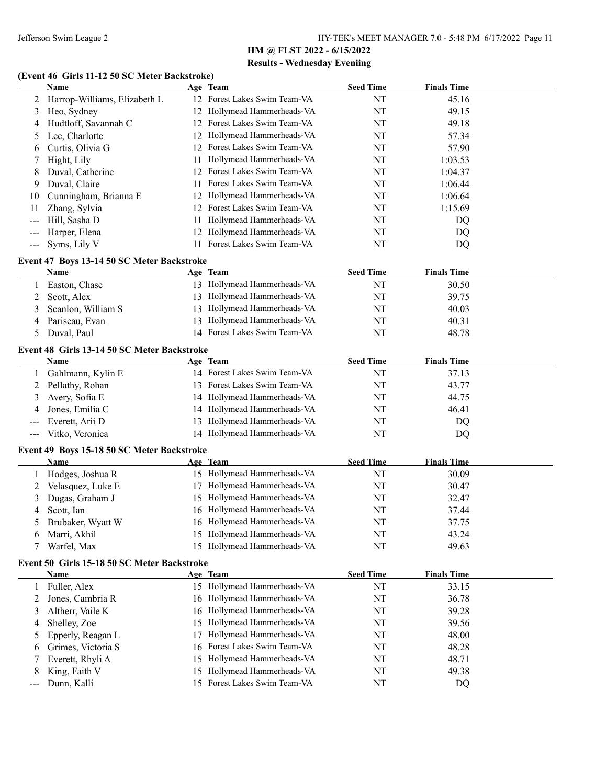## **(Event 46 Girls 11-12 50 SC Meter Backstroke)**

|       | <b>Name</b>                                 |    | Age Team                     | <b>Seed Time</b> | <b>Finals Time</b> |  |
|-------|---------------------------------------------|----|------------------------------|------------------|--------------------|--|
| 2     | Harrop-Williams, Elizabeth L                |    | 12 Forest Lakes Swim Team-VA | NT               | 45.16              |  |
| 3     | Heo, Sydney                                 | 12 | Hollymead Hammerheads-VA     | NT               | 49.15              |  |
| 4     | Hudtloff, Savannah C                        | 12 | Forest Lakes Swim Team-VA    | NT               | 49.18              |  |
| 5     | Lee, Charlotte                              | 12 | Hollymead Hammerheads-VA     | NT               | 57.34              |  |
| 6     | Curtis, Olivia G                            | 12 | Forest Lakes Swim Team-VA    | NT               | 57.90              |  |
| 7     | Hight, Lily                                 | 11 | Hollymead Hammerheads-VA     | NT               | 1:03.53            |  |
| 8     | Duval, Catherine                            | 12 | Forest Lakes Swim Team-VA    | NT               | 1:04.37            |  |
| 9     | Duval, Claire                               | 11 | Forest Lakes Swim Team-VA    | NT               | 1:06.44            |  |
| 10    | Cunningham, Brianna E                       | 12 | Hollymead Hammerheads-VA     | NT               | 1:06.64            |  |
| 11    | Zhang, Sylvia                               | 12 | Forest Lakes Swim Team-VA    | NT               | 1:15.69            |  |
| ---   | Hill, Sasha D                               | 11 | Hollymead Hammerheads-VA     | NT               | DQ                 |  |
| ---   | Harper, Elena                               | 12 | Hollymead Hammerheads-VA     | NT               | DQ                 |  |
| $---$ | Syms, Lily V                                | 11 | Forest Lakes Swim Team-VA    | NT               | DQ                 |  |
|       | Event 47 Boys 13-14 50 SC Meter Backstroke  |    |                              |                  |                    |  |
|       | Name                                        |    | Age Team                     | <b>Seed Time</b> | <b>Finals Time</b> |  |
| 1     | Easton, Chase                               |    | 13 Hollymead Hammerheads-VA  | NT               | 30.50              |  |
| 2     | Scott, Alex                                 |    | 13 Hollymead Hammerheads-VA  | NT               | 39.75              |  |
| 3     | Scanlon, William S                          |    | 13 Hollymead Hammerheads-VA  | NT               | 40.03              |  |
| 4     | Pariseau, Evan                              |    | 13 Hollymead Hammerheads-VA  | NT               | 40.31              |  |
| 5     | Duval, Paul                                 |    | 14 Forest Lakes Swim Team-VA | NT               | 48.78              |  |
|       |                                             |    |                              |                  |                    |  |
|       | Event 48 Girls 13-14 50 SC Meter Backstroke |    |                              |                  |                    |  |
|       | Name                                        |    | Age Team                     | <b>Seed Time</b> | <b>Finals Time</b> |  |
| 1     | Gahlmann, Kylin E                           |    | 14 Forest Lakes Swim Team-VA | NT               | 37.13              |  |
| 2     | Pellathy, Rohan                             | 13 | Forest Lakes Swim Team-VA    | NT               | 43.77              |  |
| 3     | Avery, Sofia E                              | 14 | Hollymead Hammerheads-VA     | NT               | 44.75              |  |
| 4     | Jones, Emilia C                             | 14 | Hollymead Hammerheads-VA     | NT               | 46.41              |  |
| ---   | Everett, Arii D                             | 13 | Hollymead Hammerheads-VA     | NT               | DQ                 |  |
| $---$ | Vitko, Veronica                             |    | 14 Hollymead Hammerheads-VA  | NT               | DQ                 |  |
|       | Event 49 Boys 15-18 50 SC Meter Backstroke  |    |                              |                  |                    |  |
|       | <b>Name</b>                                 |    | Age Team                     | <b>Seed Time</b> | <b>Finals Time</b> |  |
| 1     | Hodges, Joshua R                            |    | 15 Hollymead Hammerheads-VA  | NT               | 30.09              |  |
| 2     | Velasquez, Luke E                           | 17 | Hollymead Hammerheads-VA     | NT               | 30.47              |  |
| 3     | Dugas, Graham J                             | 15 | Hollymead Hammerheads-VA     | NT               | 32.47              |  |
| 4     | Scott, Ian                                  |    | 16 Hollymead Hammerheads-VA  | NT               | 37.44              |  |
| 5     | Brubaker, Wyatt W                           |    | 16 Hollymead Hammerheads-VA  | NT               | 37.75              |  |
| 6     | Marri, Akhil                                |    | 15 Hollymead Hammerheads-VA  | NT               | 43.24              |  |
|       | Warfel, Max                                 |    | 15 Hollymead Hammerheads-VA  | NT               | 49.63              |  |
|       | Event 50 Girls 15-18 50 SC Meter Backstroke |    |                              |                  |                    |  |
|       | <b>Name</b>                                 |    | Age Team                     | <b>Seed Time</b> | <b>Finals Time</b> |  |
| 1     | Fuller, Alex                                |    | 15 Hollymead Hammerheads-VA  | NT               | 33.15              |  |
| 2     | Jones, Cambria R                            |    | 16 Hollymead Hammerheads-VA  | NT               | 36.78              |  |
| 3     | Altherr, Vaile K                            | 16 | Hollymead Hammerheads-VA     | NT               | 39.28              |  |
| 4     | Shelley, Zoe                                | 15 | Hollymead Hammerheads-VA     | NT               | 39.56              |  |
| 5     | Epperly, Reagan L                           | 17 | Hollymead Hammerheads-VA     | NT               | 48.00              |  |
| 6     | Grimes, Victoria S                          | 16 | Forest Lakes Swim Team-VA    | NT               | 48.28              |  |
| 7     | Everett, Rhyli A                            | 15 | Hollymead Hammerheads-VA     | NT               | 48.71              |  |
| 8     | King, Faith V                               | 15 | Hollymead Hammerheads-VA     | NT               | 49.38              |  |
| ---   | Dunn, Kalli                                 |    | 15 Forest Lakes Swim Team-VA | NT               | DQ                 |  |
|       |                                             |    |                              |                  |                    |  |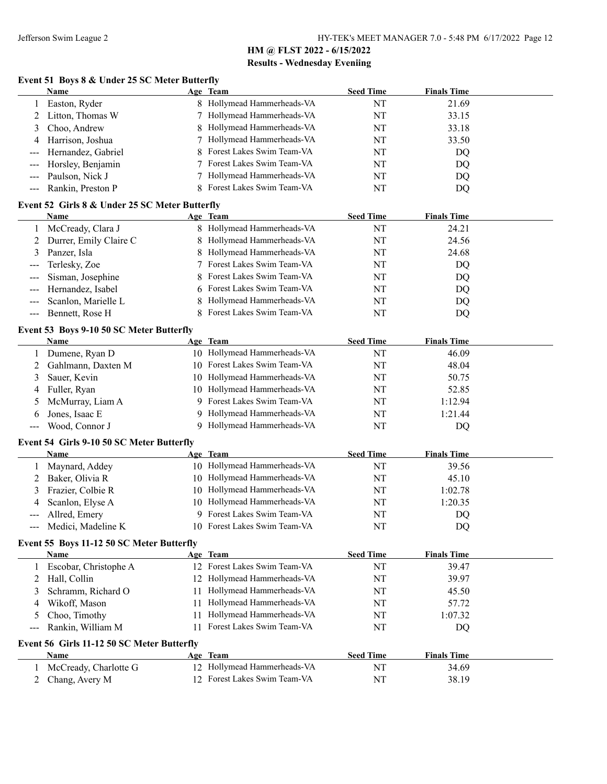## **Event 51 Boys 8 & Under 25 SC Meter Butterfly**

|                                                        | <b>Name</b>                                    |    | Age Team                             | <b>Seed Time</b> | <b>Finals Time</b> |  |  |
|--------------------------------------------------------|------------------------------------------------|----|--------------------------------------|------------------|--------------------|--|--|
|                                                        | Easton, Ryder                                  |    | Hollymead Hammerheads-VA             | NT               | 21.69              |  |  |
| 2                                                      | Litton, Thomas W                               |    | Hollymead Hammerheads-VA             | NT               | 33.15              |  |  |
| 3                                                      | Choo, Andrew                                   |    | Hollymead Hammerheads-VA             | NT               | 33.18              |  |  |
| 4                                                      | Harrison, Joshua                               |    | Hollymead Hammerheads-VA             | NT               | 33.50              |  |  |
|                                                        | Hernandez, Gabriel                             | 8  | Forest Lakes Swim Team-VA            | NT               | DQ                 |  |  |
|                                                        | Horsley, Benjamin                              |    | Forest Lakes Swim Team-VA            | NT               | DQ                 |  |  |
|                                                        | Paulson, Nick J                                |    | Hollymead Hammerheads-VA             | NT               | DQ                 |  |  |
| ---                                                    | Rankin, Preston P                              | 8  | Forest Lakes Swim Team-VA            | NT               | DQ                 |  |  |
|                                                        |                                                |    |                                      |                  |                    |  |  |
|                                                        | Event 52 Girls 8 & Under 25 SC Meter Butterfly |    |                                      |                  |                    |  |  |
|                                                        | <b>Name</b>                                    |    | Age Team<br>Hollymead Hammerheads-VA | <b>Seed Time</b> | <b>Finals Time</b> |  |  |
| 1                                                      | McCready, Clara J                              | 8  |                                      | NT               | 24.21              |  |  |
| 2                                                      | Durrer, Emily Claire C                         | 8  | Hollymead Hammerheads-VA             | NT               | 24.56              |  |  |
| 3                                                      | Panzer, Isla                                   | 8  | Hollymead Hammerheads-VA             | NT               | 24.68              |  |  |
| ---                                                    | Terlesky, Zoe                                  |    | Forest Lakes Swim Team-VA            | NT               | DQ                 |  |  |
|                                                        | Sisman, Josephine                              | 8  | Forest Lakes Swim Team-VA            | NT               | DQ                 |  |  |
|                                                        | Hernandez, Isabel                              | 6  | Forest Lakes Swim Team-VA            | NT               | DQ                 |  |  |
| ---                                                    | Scanlon, Marielle L                            | 8  | Hollymead Hammerheads-VA             | NT               | DQ                 |  |  |
| ---                                                    | Bennett, Rose H                                | 8  | Forest Lakes Swim Team-VA            | NT               | DQ                 |  |  |
|                                                        | Event 53 Boys 9-10 50 SC Meter Butterfly       |    |                                      |                  |                    |  |  |
|                                                        | Name                                           |    | Age Team                             | <b>Seed Time</b> | <b>Finals Time</b> |  |  |
|                                                        | Dumene, Ryan D                                 |    | 10 Hollymead Hammerheads-VA          | NT               | 46.09              |  |  |
| 2                                                      | Gahlmann, Daxten M                             | 10 | Forest Lakes Swim Team-VA            | NT               | 48.04              |  |  |
| 3                                                      | Sauer, Kevin                                   | 10 | Hollymead Hammerheads-VA             | NT               | 50.75              |  |  |
| 4                                                      | Fuller, Ryan                                   | 10 | Hollymead Hammerheads-VA             | NT               | 52.85              |  |  |
| 5                                                      | McMurray, Liam A                               | 9  | Forest Lakes Swim Team-VA            | NT               | 1:12.94            |  |  |
| 6                                                      | Jones, Isaac E                                 | 9  | Hollymead Hammerheads-VA             | NT               | 1:21.44            |  |  |
| ---                                                    | Wood, Connor J                                 | 9  | Hollymead Hammerheads-VA             | NT               | DQ                 |  |  |
|                                                        |                                                |    |                                      |                  |                    |  |  |
|                                                        | Event 54 Girls 9-10 50 SC Meter Butterfly      |    |                                      |                  |                    |  |  |
|                                                        | Name                                           |    | Age Team                             | <b>Seed Time</b> | <b>Finals Time</b> |  |  |
| 1                                                      | Maynard, Addey                                 |    | 10 Hollymead Hammerheads-VA          | NT               | 39.56              |  |  |
| 2                                                      | Baker, Olivia R                                | 10 | Hollymead Hammerheads-VA             | NT               | 45.10              |  |  |
| 3                                                      | Frazier, Colbie R                              | 10 | Hollymead Hammerheads-VA             | NT               | 1:02.78            |  |  |
| 4                                                      | Scanlon, Elyse A                               |    | 10 Hollymead Hammerheads-VA          | NT               | 1:20.35            |  |  |
| ---                                                    | Allred, Emery                                  |    | Forest Lakes Swim Team-VA            | NT               | DQ                 |  |  |
|                                                        | Medici, Madeline K                             |    | 10 Forest Lakes Swim Team-VA         | NT               | DQ                 |  |  |
| Event 55 Boys 11-12 50 SC Meter Butterfly              |                                                |    |                                      |                  |                    |  |  |
|                                                        | Name                                           |    | Age Team                             | <b>Seed Time</b> | <b>Finals Time</b> |  |  |
| 1                                                      | Escobar, Christophe A                          |    | 12 Forest Lakes Swim Team-VA         | $\rm{NT}$        | 39.47              |  |  |
| 2                                                      | Hall, Collin                                   |    | 12 Hollymead Hammerheads-VA          | NT               | 39.97              |  |  |
| 3                                                      | Schramm, Richard O                             | 11 | Hollymead Hammerheads-VA             | NT               | 45.50              |  |  |
| 4                                                      | Wikoff, Mason                                  | 11 | Hollymead Hammerheads-VA             | NT               | 57.72              |  |  |
| 5                                                      | Choo, Timothy                                  | 11 | Hollymead Hammerheads-VA             | NT               | 1:07.32            |  |  |
| ---                                                    | Rankin, William M                              | 11 | Forest Lakes Swim Team-VA            | NT               | DQ                 |  |  |
|                                                        |                                                |    |                                      |                  |                    |  |  |
| Event 56 Girls 11-12 50 SC Meter Butterfly<br>Age Team |                                                |    |                                      |                  |                    |  |  |
|                                                        | Name                                           |    |                                      | <b>Seed Time</b> | <b>Finals Time</b> |  |  |
| 1                                                      | McCready, Charlotte G                          |    | 12 Hollymead Hammerheads-VA          | NT               | 34.69              |  |  |
| 2                                                      | Chang, Avery M                                 |    | 12 Forest Lakes Swim Team-VA         | NT               | 38.19              |  |  |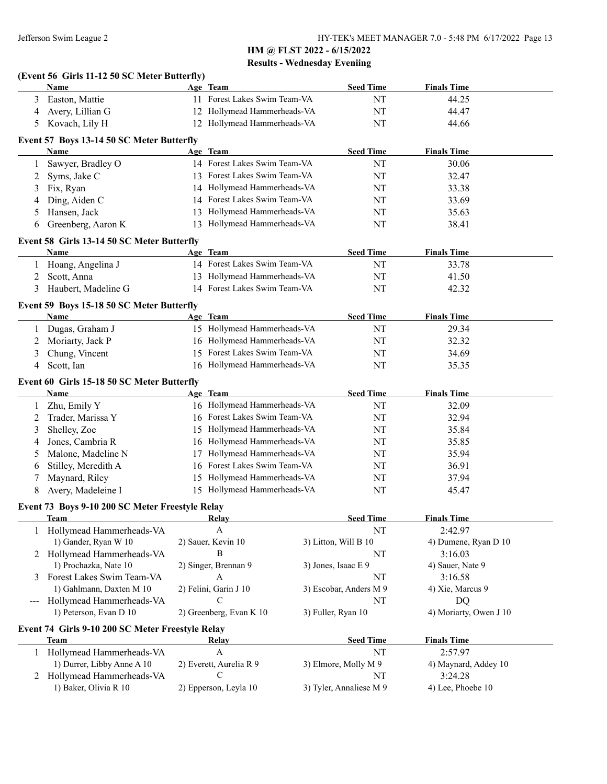|                     | (Event 56 Girls 11-12 50 SC Meter Butterfly)<br>Name           |    | Age Team                                                      |                                                                   | <b>Seed Time</b>       | <b>Finals Time</b>          |
|---------------------|----------------------------------------------------------------|----|---------------------------------------------------------------|-------------------------------------------------------------------|------------------------|-----------------------------|
| 3                   | Easton, Mattie                                                 |    | 11 Forest Lakes Swim Team-VA                                  |                                                                   | NT                     | 44.25                       |
| 4                   | Avery, Lillian G                                               |    | 12 Hollymead Hammerheads-VA                                   |                                                                   | NT                     | 44.47                       |
| 5                   | Kovach, Lily H                                                 |    | 12 Hollymead Hammerheads-VA                                   |                                                                   | NT                     | 44.66                       |
|                     | Event 57 Boys 13-14 50 SC Meter Butterfly                      |    |                                                               |                                                                   |                        |                             |
|                     | Name                                                           |    | Age Team                                                      |                                                                   | <b>Seed Time</b>       | <b>Finals Time</b>          |
| 1                   | Sawyer, Bradley O                                              |    | 14 Forest Lakes Swim Team-VA                                  |                                                                   | NT                     | 30.06                       |
| 2                   | Syms, Jake C                                                   |    | 13 Forest Lakes Swim Team-VA                                  |                                                                   | NT                     | 32.47                       |
| 3                   | Fix, Ryan                                                      |    | 14 Hollymead Hammerheads-VA                                   |                                                                   | NT                     | 33.38                       |
| 4                   | Ding, Aiden C                                                  |    | 14 Forest Lakes Swim Team-VA<br>NT                            |                                                                   | 33.69                  |                             |
| 5                   | Hansen, Jack                                                   |    | 13 Hollymead Hammerheads-VA                                   |                                                                   | NT                     | 35.63                       |
| 6                   | Greenberg, Aaron K                                             |    | 13 Hollymead Hammerheads-VA                                   |                                                                   | NT                     | 38.41                       |
|                     | Event 58 Girls 13-14 50 SC Meter Butterfly                     |    |                                                               |                                                                   |                        |                             |
|                     | Name                                                           |    | Age Team                                                      |                                                                   | <b>Seed Time</b>       | <b>Finals Time</b>          |
|                     | Hoang, Angelina J                                              |    | 14 Forest Lakes Swim Team-VA                                  |                                                                   | NT                     | 33.78                       |
| 2                   | Scott, Anna                                                    |    | 13 Hollymead Hammerheads-VA                                   |                                                                   | NT                     | 41.50                       |
| 3                   | Haubert, Madeline G                                            |    | 14 Forest Lakes Swim Team-VA                                  |                                                                   | NT                     | 42.32                       |
|                     | Event 59 Boys 15-18 50 SC Meter Butterfly                      |    |                                                               |                                                                   |                        |                             |
|                     | <b>Name</b>                                                    |    | Age Team                                                      |                                                                   | <b>Seed Time</b>       | <b>Finals Time</b>          |
| 1                   | Dugas, Graham J                                                |    | 15 Hollymead Hammerheads-VA                                   |                                                                   | NT                     | 29.34                       |
| 2                   | Moriarty, Jack P                                               |    | 16 Hollymead Hammerheads-VA                                   |                                                                   | NT                     | 32.32                       |
| 3                   | Chung, Vincent                                                 | 15 | Forest Lakes Swim Team-VA                                     |                                                                   | NT                     | 34.69                       |
| 4                   | Scott, Ian                                                     |    | 16 Hollymead Hammerheads-VA                                   |                                                                   | NT                     | 35.35                       |
|                     | Event 60 Girls 15-18 50 SC Meter Butterfly                     |    |                                                               |                                                                   |                        |                             |
|                     | <b>Name</b>                                                    |    | Age Team<br>16 Hollymead Hammerheads-VA                       |                                                                   | <b>Seed Time</b>       | <b>Finals Time</b><br>32.09 |
|                     | Zhu, Emily Y                                                   |    | 16 Forest Lakes Swim Team-VA                                  |                                                                   | NT                     |                             |
| 2                   | Trader, Marissa Y                                              | 15 |                                                               |                                                                   | NT                     | 32.94                       |
| 3<br>4              | Shelley, Zoe<br>Jones, Cambria R                               |    | Hollymead Hammerheads-VA<br>NT<br>16 Hollymead Hammerheads-VA |                                                                   | 35.84<br>35.85         |                             |
| 5                   | Malone, Madeline N                                             |    | 17 Hollymead Hammerheads-VA                                   |                                                                   | NT<br>NT               | 35.94                       |
|                     |                                                                |    |                                                               |                                                                   |                        | 36.91                       |
| 6                   | Stilley, Meredith A<br>Maynard, Riley                          |    |                                                               | 16 Forest Lakes Swim Team-VA<br>NT<br>15 Hollymead Hammerheads-VA |                        | 37.94                       |
| 7<br>8              | Avery, Madeleine I                                             |    | 15 Hollymead Hammerheads-VA                                   |                                                                   | NT<br>NT               | 45.47                       |
|                     |                                                                |    |                                                               |                                                                   |                        |                             |
|                     | Event 73 Boys 9-10 200 SC Meter Freestyle Relay<br><b>Team</b> |    | <b>Relay</b>                                                  |                                                                   | <b>Seed Time</b>       | <b>Finals Time</b>          |
|                     | Hollymead Hammerheads-VA                                       |    | A                                                             |                                                                   | NT                     | 2:42.97                     |
|                     | 1) Gander, Ryan W 10                                           |    | 2) Sauer, Kevin 10                                            | 3) Litton, Will B 10                                              |                        | 4) Dumene, Ryan D 10        |
| 2                   | Hollymead Hammerheads-VA                                       |    | B                                                             |                                                                   | NT                     | 3:16.03                     |
|                     | 1) Prochazka, Nate 10                                          |    | 2) Singer, Brennan 9                                          | 3) Jones, Isaac E 9                                               |                        | 4) Sauer, Nate 9            |
| 3                   | Forest Lakes Swim Team-VA                                      |    | A                                                             |                                                                   | NT                     | 3:16.58                     |
|                     | 1) Gahlmann, Daxten M 10                                       |    | 2) Felini, Garin J 10                                         |                                                                   | 3) Escobar, Anders M 9 | 4) Xie, Marcus 9            |
| $\qquad \qquad - -$ | Hollymead Hammerheads-VA                                       |    | C                                                             |                                                                   | NT                     | DQ                          |
|                     | 1) Peterson, Evan D 10                                         |    | 2) Greenberg, Evan K 10                                       | 3) Fuller, Ryan 10                                                |                        | 4) Moriarty, Owen J 10      |
|                     | Event 74 Girls 9-10 200 SC Meter Freestyle Relay               |    |                                                               |                                                                   |                        |                             |
|                     | <b>Team</b>                                                    |    | <b>Relay</b>                                                  |                                                                   | <b>Seed Time</b>       | <b>Finals Time</b>          |
|                     | 1 Hollymead Hammerheads-VA                                     |    | A                                                             |                                                                   | NT                     | 2:57.97                     |
|                     | 1) Durrer, Libby Anne A 10                                     |    | 2) Everett, Aurelia R 9                                       |                                                                   | 3) Elmore, Molly M 9   | 4) Maynard, Addey 10        |
|                     | 2 Hollymead Hammerheads-VA                                     |    | C                                                             |                                                                   | NT                     | 3:24.28                     |
|                     | 1) Baker, Olivia R 10                                          |    | 2) Epperson, Leyla 10                                         |                                                                   |                        | 4) Lee, Phoebe 10           |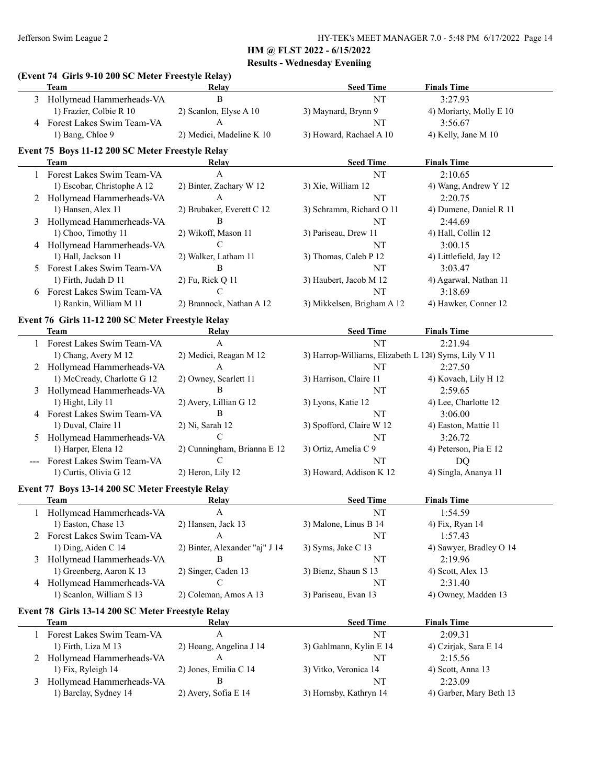# **HM @ FLST 2022 - 6/15/2022**

|   |                                                            |                                | $\mathbf{u}$ $\mathbf{u}$ $\mathbf{u}$ $\mathbf{v}$ $\mathbf{u}$ $\mathbf{v}$ $\mathbf{u}$ $\mathbf{v}$ $\mathbf{u}$ $\mathbf{v}$ $\mathbf{v}$ $\mathbf{v}$ $\mathbf{v}$<br><b>Results - Wednesday Eveniing</b> |                         |
|---|------------------------------------------------------------|--------------------------------|-----------------------------------------------------------------------------------------------------------------------------------------------------------------------------------------------------------------|-------------------------|
|   | (Event 74 Girls 9-10 200 SC Meter Freestyle Relay)<br>Team | Relay                          | <b>Seed Time</b>                                                                                                                                                                                                | <b>Finals Time</b>      |
|   | 3 Hollymead Hammerheads-VA                                 | B                              | NT                                                                                                                                                                                                              | 3:27.93                 |
|   | 1) Frazier, Colbie R 10                                    | 2) Scanlon, Elyse A 10         | 3) Maynard, Brynn 9                                                                                                                                                                                             | 4) Moriarty, Molly E 10 |
|   | 4 Forest Lakes Swim Team-VA                                | $\mathbf{A}$                   | NT                                                                                                                                                                                                              | 3:56.67                 |
|   | 1) Bang, Chloe 9                                           | 2) Medici, Madeline K 10       | 3) Howard, Rachael A 10                                                                                                                                                                                         | 4) Kelly, Jane M 10     |
|   | Event 75 Boys 11-12 200 SC Meter Freestyle Relay           |                                |                                                                                                                                                                                                                 |                         |
|   | Team                                                       | Relay                          | <b>Seed Time</b>                                                                                                                                                                                                | <b>Finals Time</b>      |
|   | 1 Forest Lakes Swim Team-VA                                | A                              | NT                                                                                                                                                                                                              | 2:10.65                 |
|   | 1) Escobar, Christophe A 12                                | 2) Binter, Zachary W 12        | 3) Xie, William 12                                                                                                                                                                                              | 4) Wang, Andrew Y 12    |
|   | 2 Hollymead Hammerheads-VA                                 | A                              | NT                                                                                                                                                                                                              | 2:20.75                 |
|   | 1) Hansen, Alex 11                                         | 2) Brubaker, Everett C 12      | 3) Schramm, Richard O 11                                                                                                                                                                                        | 4) Dumene, Daniel R 11  |
|   | Hollymead Hammerheads-VA                                   | B                              | NT                                                                                                                                                                                                              | 2:44.69                 |
|   | 1) Choo, Timothy 11                                        | 2) Wikoff, Mason 11            | 3) Pariseau, Drew 11                                                                                                                                                                                            | 4) Hall, Collin 12      |
|   | 4 Hollymead Hammerheads-VA                                 | C                              | NT                                                                                                                                                                                                              | 3:00.15                 |
|   | 1) Hall, Jackson 11                                        | 2) Walker, Latham 11           | 3) Thomas, Caleb P 12                                                                                                                                                                                           | 4) Littlefield, Jay 12  |
|   | Forest Lakes Swim Team-VA                                  | B                              | NT                                                                                                                                                                                                              | 3:03.47                 |
|   | 1) Firth, Judah D 11                                       | 2) Fu, Rick Q 11               | 3) Haubert, Jacob M 12                                                                                                                                                                                          | 4) Agarwal, Nathan 11   |
|   | Forest Lakes Swim Team-VA                                  | C                              | NT                                                                                                                                                                                                              | 3:18.69                 |
|   | 1) Rankin, William M 11                                    | 2) Brannock, Nathan A 12       | 3) Mikkelsen, Brigham A 12                                                                                                                                                                                      | 4) Hawker, Conner 12    |
|   | Event 76 Girls 11-12 200 SC Meter Freestyle Relay          |                                |                                                                                                                                                                                                                 |                         |
|   | <b>Team</b>                                                | Relay                          | <b>Seed Time</b>                                                                                                                                                                                                | <b>Finals Time</b>      |
|   | 1 Forest Lakes Swim Team-VA                                | A                              | <b>NT</b>                                                                                                                                                                                                       | 2:21.94                 |
|   | 1) Chang, Avery M 12                                       | 2) Medici, Reagan M 12         | 3) Harrop-Williams, Elizabeth L 124) Syms, Lily V 11                                                                                                                                                            |                         |
|   | Hollymead Hammerheads-VA                                   | A                              | NT                                                                                                                                                                                                              | 2:27.50                 |
|   | 1) McCready, Charlotte G 12                                | 2) Owney, Scarlett 11          | 3) Harrison, Claire 11                                                                                                                                                                                          | 4) Kovach, Lily H 12    |
| 3 | Hollymead Hammerheads-VA                                   | B                              | NT                                                                                                                                                                                                              | 2:59.65                 |
|   | 1) Hight, Lily 11                                          | 2) Avery, Lillian G 12         | 3) Lyons, Katie 12                                                                                                                                                                                              | 4) Lee, Charlotte 12    |
| 4 | Forest Lakes Swim Team-VA                                  | B                              | NT                                                                                                                                                                                                              | 3:06.00                 |
|   | 1) Duval, Claire 11                                        | 2) Ni, Sarah 12                | 3) Spofford, Claire W 12                                                                                                                                                                                        | 4) Easton, Mattie 11    |
|   | Hollymead Hammerheads-VA                                   | C                              | NT                                                                                                                                                                                                              | 3:26.72                 |
|   | 1) Harper, Elena 12                                        | 2) Cunningham, Brianna E 12    | 3) Ortiz, Amelia C 9                                                                                                                                                                                            | 4) Peterson, Pia E 12   |
|   | Forest Lakes Swim Team-VA                                  | C                              | NT                                                                                                                                                                                                              | <b>DQ</b>               |
|   | 1) Curtis, Olivia G 12                                     | 2) Heron, Lily 12              | 3) Howard, Addison K 12                                                                                                                                                                                         | 4) Singla, Ananya 11    |
|   | Event 77 Boys 13-14 200 SC Meter Freestyle Relay           |                                |                                                                                                                                                                                                                 |                         |
|   | Team                                                       | <b>Relay</b>                   | <b>Seed Time</b>                                                                                                                                                                                                | <b>Finals Time</b>      |
|   | Hollymead Hammerheads-VA                                   | A                              | NT                                                                                                                                                                                                              | 1:54.59                 |
|   | 1) Easton, Chase 13                                        | 2) Hansen, Jack 13             | 3) Malone, Linus B 14                                                                                                                                                                                           | 4) Fix, Ryan 14         |
|   | 2 Forest Lakes Swim Team-VA                                | A                              | NT                                                                                                                                                                                                              | 1:57.43                 |
|   | 1) Ding, Aiden C 14                                        | 2) Binter, Alexander "aj" J 14 | 3) Syms, Jake C 13                                                                                                                                                                                              | 4) Sawyer, Bradley O 14 |
| 3 | Hollymead Hammerheads-VA                                   | B                              | NT                                                                                                                                                                                                              | 2:19.96                 |
|   | 1) Greenberg, Aaron K 13                                   | 2) Singer, Caden 13            | 3) Bienz, Shaun S 13                                                                                                                                                                                            | 4) Scott, Alex 13       |
|   | 4 Hollymead Hammerheads-VA                                 | C                              | NT                                                                                                                                                                                                              | 2:31.40                 |
|   | 1) Scanlon, William S 13                                   | 2) Coleman, Amos A 13          | 3) Pariseau, Evan 13                                                                                                                                                                                            | 4) Owney, Madden 13     |
|   | Event 78 Girls 13-14 200 SC Meter Freestyle Relay          |                                |                                                                                                                                                                                                                 |                         |
|   | <b>Team</b>                                                | <b>Relay</b>                   | <b>Seed Time</b>                                                                                                                                                                                                | <b>Finals Time</b>      |
|   | Forest Lakes Swim Team-VA                                  | A                              | NT                                                                                                                                                                                                              | 2:09.31                 |
|   | 1) Firth, Liza M 13                                        | 2) Hoang, Angelina J 14        | 3) Gahlmann, Kylin E 14                                                                                                                                                                                         | 4) Czirjak, Sara E 14   |
| 2 | Hollymead Hammerheads-VA                                   | A                              | NT                                                                                                                                                                                                              | 2:15.56                 |
|   | 1) Fix, Ryleigh 14                                         | 2) Jones, Emilia C 14          | 3) Vitko, Veronica 14                                                                                                                                                                                           | 4) Scott, Anna 13       |
| 3 | Hollymead Hammerheads-VA                                   | B                              | NT                                                                                                                                                                                                              | 2:23.09                 |
|   | 1) Barclay, Sydney 14                                      | 2) Avery, Sofia E 14           | 3) Hornsby, Kathryn 14                                                                                                                                                                                          | 4) Garber, Mary Beth 13 |